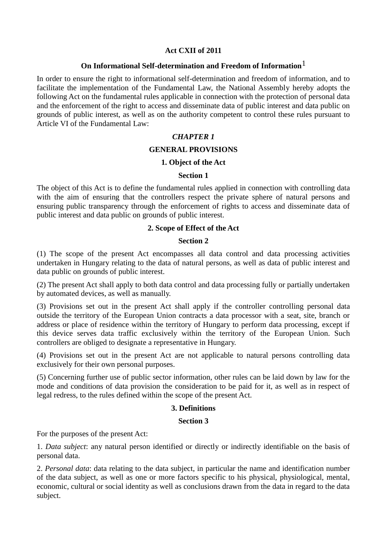## **Act CXII of 2011**

## **On Informational Self-determination and Freedom of Information**1

In order to ensure the right to informational self-determination and freedom of information, and to facilitate the implementation of the Fundamental Law, the National Assembly hereby adopts the following Act on the fundamental rules applicable in connection with the protection of personal data and the enforcement of the right to access and disseminate data of public interest and data public on grounds of public interest, as well as on the authority competent to control these rules pursuant to Article VI of the Fundamental Law:

## *CHAPTER 1*

#### **GENERAL PROVISIONS**

#### **1. Object of the Act**

#### **Section 1**

The object of this Act is to define the fundamental rules applied in connection with controlling data with the aim of ensuring that the controllers respect the private sphere of natural persons and ensuring public transparency through the enforcement of rights to access and disseminate data of public interest and data public on grounds of public interest.

#### **2. Scope of Effect of the Act**

#### **Section 2**

(1) The scope of the present Act encompasses all data control and data processing activities undertaken in Hungary relating to the data of natural persons, as well as data of public interest and data public on grounds of public interest.

(2) The present Act shall apply to both data control and data processing fully or partially undertaken by automated devices, as well as manually.

(3) Provisions set out in the present Act shall apply if the controller controlling personal data outside the territory of the European Union contracts a data processor with a seat, site, branch or address or place of residence within the territory of Hungary to perform data processing, except if this device serves data traffic exclusively within the territory of the European Union. Such controllers are obliged to designate a representative in Hungary.

(4) Provisions set out in the present Act are not applicable to natural persons controlling data exclusively for their own personal purposes.

(5) Concerning further use of public sector information, other rules can be laid down by law for the mode and conditions of data provision the consideration to be paid for it, as well as in respect of legal redress, to the rules defined within the scope of the present Act.

#### **3. Definitions**

#### **Section 3**

For the purposes of the present Act:

1. *Data subject*: any natural person identified or directly or indirectly identifiable on the basis of personal data.

2. *Personal data*: data relating to the data subject, in particular the name and identification number of the data subject, as well as one or more factors specific to his physical, physiological, mental, economic, cultural or social identity as well as conclusions drawn from the data in regard to the data subject.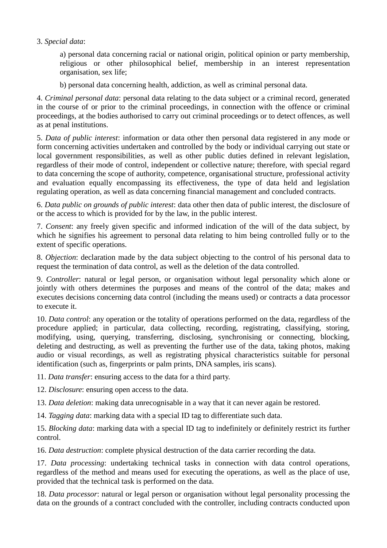## 3. *Special data*:

a) personal data concerning racial or national origin, political opinion or party membership, religious or other philosophical belief, membership in an interest representation organisation, sex life;

b) personal data concerning health, addiction, as well as criminal personal data.

4. *Criminal personal data*: personal data relating to the data subject or a criminal record, generated in the course of or prior to the criminal proceedings, in connection with the offence or criminal proceedings, at the bodies authorised to carry out criminal proceedings or to detect offences, as well as at penal institutions.

5. *Data of public interest*: information or data other then personal data registered in any mode or form concerning activities undertaken and controlled by the body or individual carrying out state or local government responsibilities, as well as other public duties defined in relevant legislation, regardless of their mode of control, independent or collective nature; therefore, with special regard to data concerning the scope of authority, competence, organisational structure, professional activity and evaluation equally encompassing its effectiveness, the type of data held and legislation regulating operation, as well as data concerning financial management and concluded contracts.

6. *Data public on grounds of public interest*: data other then data of public interest, the disclosure of or the access to which is provided for by the law, in the public interest.

7. *Consent*: any freely given specific and informed indication of the will of the data subject, by which he signifies his agreement to personal data relating to him being controlled fully or to the extent of specific operations.

8. *Objection*: declaration made by the data subject objecting to the control of his personal data to request the termination of data control, as well as the deletion of the data controlled.

9. *Controller*: natural or legal person, or organisation without legal personality which alone or jointly with others determines the purposes and means of the control of the data; makes and executes decisions concerning data control (including the means used) or contracts a data processor to execute it.

10. *Data control*: any operation or the totality of operations performed on the data, regardless of the procedure applied; in particular, data collecting, recording, registrating, classifying, storing, modifying, using, querying, transferring, disclosing, synchronising or connecting, blocking, deleting and destructing, as well as preventing the further use of the data, taking photos, making audio or visual recordings, as well as registrating physical characteristics suitable for personal identification (such as, fingerprints or palm prints, DNA samples, iris scans).

11. *Data transfer*: ensuring access to the data for a third party.

- 12. *Disclosure*: ensuring open access to the data.
- 13. *Data deletion*: making data unrecognisable in a way that it can never again be restored.
- 14. *Tagging data*: marking data with a special ID tag to differentiate such data.

15. *Blocking data*: marking data with a special ID tag to indefinitely or definitely restrict its further control.

16. *Data destruction*: complete physical destruction of the data carrier recording the data.

17. *Data processing*: undertaking technical tasks in connection with data control operations, regardless of the method and means used for executing the operations, as well as the place of use, provided that the technical task is performed on the data.

18. *Data processor*: natural or legal person or organisation without legal personality processing the data on the grounds of a contract concluded with the controller, including contracts conducted upon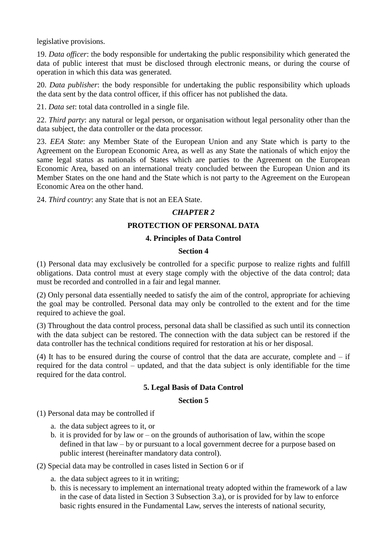legislative provisions.

19. *Data officer*: the body responsible for undertaking the public responsibility which generated the data of public interest that must be disclosed through electronic means, or during the course of operation in which this data was generated.

20. *Data publisher*: the body responsible for undertaking the public responsibility which uploads the data sent by the data control officer, if this officer has not published the data.

21. *Data set*: total data controlled in a single file.

22. *Third party*: any natural or legal person, or organisation without legal personality other than the data subject, the data controller or the data processor.

23. *EEA State*: any Member State of the European Union and any State which is party to the Agreement on the European Economic Area, as well as any State the nationals of which enjoy the same legal status as nationals of States which are parties to the Agreement on the European Economic Area, based on an international treaty concluded between the European Union and its Member States on the one hand and the State which is not party to the Agreement on the European Economic Area on the other hand.

24. *Third country*: any State that is not an EEA State.

## *CHAPTER 2*

## **PROTECTION OF PERSONAL DATA**

## **4. Principles of Data Control**

## **Section 4**

(1) Personal data may exclusively be controlled for a specific purpose to realize rights and fulfill obligations. Data control must at every stage comply with the objective of the data control; data must be recorded and controlled in a fair and legal manner.

(2) Only personal data essentially needed to satisfy the aim of the control, appropriate for achieving the goal may be controlled. Personal data may only be controlled to the extent and for the time required to achieve the goal.

(3) Throughout the data control process, personal data shall be classified as such until its connection with the data subject can be restored. The connection with the data subject can be restored if the data controller has the technical conditions required for restoration at his or her disposal.

(4) It has to be ensured during the course of control that the data are accurate, complete and – if required for the data control – updated, and that the data subject is only identifiable for the time required for the data control.

## **5. Legal Basis of Data Control**

#### **Section 5**

(1) Personal data may be controlled if

- a. the data subject agrees to it, or
- b. it is provided for by law or on the grounds of authorisation of law, within the scope defined in that law – by or pursuant to a local government decree for a purpose based on public interest (hereinafter mandatory data control).

(2) Special data may be controlled in cases listed in Section 6 or if

- a. the data subject agrees to it in writing;
- b. this is necessary to implement an international treaty adopted within the framework of a law in the case of data listed in Section 3 Subsection 3.a), or is provided for by law to enforce basic rights ensured in the Fundamental Law, serves the interests of national security,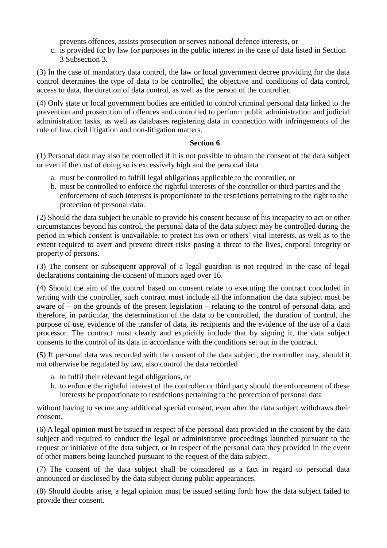prevents offences, assists prosecution or serves national defence interests, or

c. is provided for by law for purposes in the public interest in the case of data listed in Section 3 Subsection 3.

(3) In the case of mandatory data control, the law or local government decree providing for the data control determines the type of data to be controlled, the objective and conditions of data control, access to data, the duration of data control, as well as the person of the controller.

(4) Only state or local government bodies are entitled to control criminal personal data linked to the prevention and prosecution of offences and controlled to perform public administration and judicial administration tasks, as well as databases registering data in connection with infringements of the rule of law, civil litigation and non-litigation matters.

## **Section 6**

(1) Personal data may also be controlled if it is not possible to obtain the consent of the data subject or even if the cost of doing so is excessively high and the personal data

- a. must be controlled to fulfill legal obligations applicable to the controller, or
- b. must be controlled to enforce the rightful interests of the controller or third parties and the enforcement of such interests is proportionate to the restrictions pertaining to the right to the protection of personal data.

(2) Should the data subject be unable to provide his consent because of his incapacity to act or other circumstances beyond his control, the personal data of the data subject may be controlled during the period in which consent is unavailable, to protect his own or others' vital interests, as well as to the extent required to avert and prevent direct risks posing a threat to the lives, corporal integrity or property of persons.

(3) The consent or subsequent approval of a legal guardian is not required in the case of legal declarations containing the consent of minors aged over 16.

(4) Should the aim of the control based on consent relate to executing the contract concluded in writing with the controller, such contract must include all the information the data subject must be aware of – on the grounds of the present legislation – relating to the control of personal data, and therefore, in particular, the determination of the data to be controlled, the duration of control, the purpose of use, evidence of the transfer of data, its recipients and the evidence of the use of a data processor. The contract must clearly and explicitly include that by signing it, the data subject consents to the control of its data in accordance with the conditions set out in the contract.

(5) If personal data was recorded with the consent of the data subject, the controller may, should it not otherwise be regulated by law, also control the data recorded

- a. to fulfil their relevant legal obligations, or
- b. to enforce the rightful interest of the controller or third party should the enforcement of these interests be proportionate to restrictions pertaining to the protection of personal data

without having to secure any additional special consent, even after the data subject withdraws their consent.

(6) A legal opinion must be issued in respect of the personal data provided in the consent by the data subject and required to conduct the legal or administrative proceedings launched pursuant to the request or initiative of the data subject, or in respect of the personal data they provided in the event of other matters being launched pursuant to the request of the data subject.

(7) The consent of the data subject shall be considered as a fact in regard to personal data announced or disclosed by the data subject during public appearances.

(8) Should doubts arise, a legal opinion must be issued setting forth how the data subject failed to provide their consent.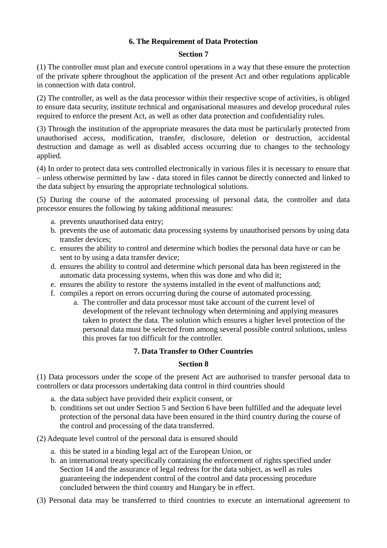## **6. The Requirement of Data Protection**

#### **Section 7**

(1) The controller must plan and execute control operations in a way that these ensure the protection of the private sphere throughout the application of the present Act and other regulations applicable in connection with data control.

(2) The controller, as well as the data processor within their respective scope of activities, is obliged to ensure data security, institute technical and organisational measures and develop procedural rules required to enforce the present Act, as well as other data protection and confidentiality rules.

(3) Through the institution of the appropriate measures the data must be particularly protected from unauthorised access, modification, transfer, disclosure, deletion or destruction, accidental destruction and damage as well as disabled access occurring due to changes to the technology applied.

(4) In order to protect data sets controlled electronically in various files it is necessary to ensure that – unless otherwise permitted by law - data stored in files cannot be directly connected and linked to the data subject by ensuring the appropriate technological solutions.

(5) During the course of the automated processing of personal data, the controller and data processor ensures the following by taking additional measures:

- a. prevents unauthorised data entry;
- b. prevents the use of automatic data processing systems by unauthorised persons by using data transfer devices;
- c. ensures the ability to control and determine which bodies the personal data have or can be sent to by using a data transfer device;
- d. ensures the ability to control and determine which personal data has been registered in the automatic data processing systems, when this was done and who did it;
- e. ensures the ability to restore the systems installed in the event of malfunctions and;
- f. compiles a report on errors occurring during the course of automated processing.
	- a. The controller and data processor must take account of the current level of development of the relevant technology when determining and applying measures taken to protect the data. The solution which ensures a higher level protection of the personal data must be selected from among several possible control solutions, unless this proves far too difficult for the controller.

#### **7. Data Transfer to Other Countries**

#### **Section 8**

(1) Data processors under the scope of the present Act are authorised to transfer personal data to controllers or data processors undertaking data control in third countries should

- a. the data subject have provided their explicit consent, or
- b. conditions set out under Section 5 and Section 6 have been fulfilled and the adequate level protection of the personal data have been ensured in the third country during the course of the control and processing of the data transferred.

(2) Adequate level control of the personal data is ensured should

- a. this be stated in a binding legal act of the European Union, or
- b. an international treaty specifically containing the enforcement of rights specified under Section 14 and the assurance of legal redress for the data subject, as well as rules guaranteeing the independent control of the control and data processing procedure concluded between the third country and Hungary be in effect.
- (3) Personal data may be transferred to third countries to execute an international agreement to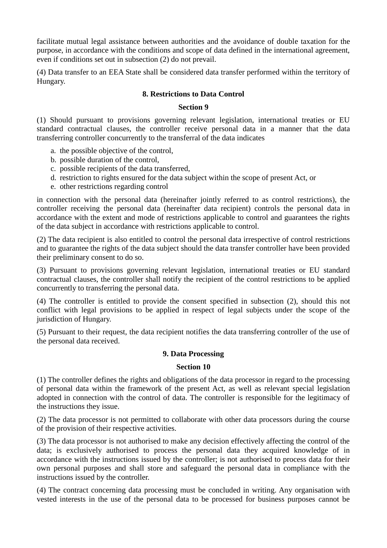facilitate mutual legal assistance between authorities and the avoidance of double taxation for the purpose, in accordance with the conditions and scope of data defined in the international agreement, even if conditions set out in subsection (2) do not prevail.

(4) Data transfer to an EEA State shall be considered data transfer performed within the territory of Hungary.

## **8. Restrictions to Data Control**

#### **Section 9**

(1) Should pursuant to provisions governing relevant legislation, international treaties or EU standard contractual clauses, the controller receive personal data in a manner that the data transferring controller concurrently to the transferral of the data indicates

- a. the possible objective of the control,
- b. possible duration of the control,
- c. possible recipients of the data transferred,
- d. restriction to rights ensured for the data subject within the scope of present Act, or
- e. other restrictions regarding control

in connection with the personal data (hereinafter jointly referred to as control restrictions), the controller receiving the personal data (hereinafter data recipient) controls the personal data in accordance with the extent and mode of restrictions applicable to control and guarantees the rights of the data subject in accordance with restrictions applicable to control.

(2) The data recipient is also entitled to control the personal data irrespective of control restrictions and to guarantee the rights of the data subject should the data transfer controller have been provided their preliminary consent to do so.

(3) Pursuant to provisions governing relevant legislation, international treaties or EU standard contractual clauses, the controller shall notify the recipient of the control restrictions to be applied concurrently to transferring the personal data.

(4) The controller is entitled to provide the consent specified in subsection (2), should this not conflict with legal provisions to be applied in respect of legal subjects under the scope of the jurisdiction of Hungary.

(5) Pursuant to their request, the data recipient notifies the data transferring controller of the use of the personal data received.

## **9. Data Processing**

#### **Section 10**

(1) The controller defines the rights and obligations of the data processor in regard to the processing of personal data within the framework of the present Act, as well as relevant special legislation adopted in connection with the control of data. The controller is responsible for the legitimacy of the instructions they issue.

(2) The data processor is not permitted to collaborate with other data processors during the course of the provision of their respective activities.

(3) The data processor is not authorised to make any decision effectively affecting the control of the data; is exclusively authorised to process the personal data they acquired knowledge of in accordance with the instructions issued by the controller; is not authorised to process data for their own personal purposes and shall store and safeguard the personal data in compliance with the instructions issued by the controller.

(4) The contract concerning data processing must be concluded in writing. Any organisation with vested interests in the use of the personal data to be processed for business purposes cannot be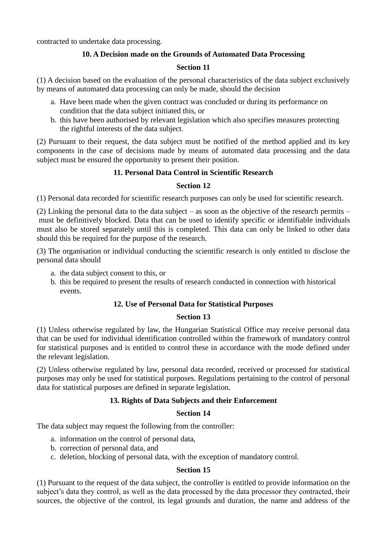contracted to undertake data processing.

## **10. A Decision made on the Grounds of Automated Data Processing**

## **Section 11**

(1) A decision based on the evaluation of the personal characteristics of the data subject exclusively by means of automated data processing can only be made, should the decision

- a. Have been made when the given contract was concluded or during its performance on condition that the data subject initiated this, or
- b. this have been authorised by relevant legislation which also specifies measures protecting the rightful interests of the data subject.

(2) Pursuant to their request, the data subject must be notified of the method applied and its key components in the case of decisions made by means of automated data processing and the data subject must be ensured the opportunity to present their position.

## **11. Personal Data Control in Scientific Research**

## **Section 12**

(1) Personal data recorded for scientific research purposes can only be used for scientific research.

(2) Linking the personal data to the data subject – as soon as the objective of the research permits – must be definitively blocked. Data that can be used to identify specific or identifiable individuals must also be stored separately until this is completed. This data can only be linked to other data should this be required for the purpose of the research.

(3) The organisation or individual conducting the scientific research is only entitled to disclose the personal data should

- a. the data subject consent to this, or
- b. this be required to present the results of research conducted in connection with historical events.

## **12. Use of Personal Data for Statistical Purposes**

#### **Section 13**

(1) Unless otherwise regulated by law, the Hungarian Statistical Office may receive personal data that can be used for individual identification controlled within the framework of mandatory control for statistical purposes and is entitled to control these in accordance with the mode defined under the relevant legislation.

(2) Unless otherwise regulated by law, personal data recorded, received or processed for statistical purposes may only be used for statistical purposes. Regulations pertaining to the control of personal data for statistical purposes are defined in separate legislation.

## **13. Rights of Data Subjects and their Enforcement**

#### **Section 14**

The data subject may request the following from the controller:

- a. information on the control of personal data,
- b. correction of personal data, and
- c. deletion, blocking of personal data, with the exception of mandatory control.

#### **Section 15**

(1) Pursuant to the request of the data subject, the controller is entitled to provide information on the subject's data they control, as well as the data processed by the data processor they contracted, their sources, the objective of the control, its legal grounds and duration, the name and address of the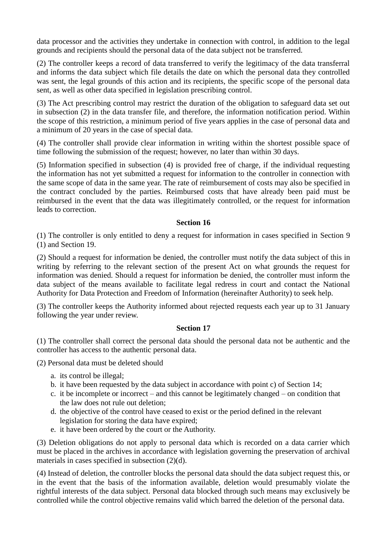data processor and the activities they undertake in connection with control, in addition to the legal grounds and recipients should the personal data of the data subject not be transferred.

(2) The controller keeps a record of data transferred to verify the legitimacy of the data transferral and informs the data subject which file details the date on which the personal data they controlled was sent, the legal grounds of this action and its recipients, the specific scope of the personal data sent, as well as other data specified in legislation prescribing control.

(3) The Act prescribing control may restrict the duration of the obligation to safeguard data set out in subsection (2) in the data transfer file, and therefore, the information notification period. Within the scope of this restriction, a minimum period of five years applies in the case of personal data and a minimum of 20 years in the case of special data.

(4) The controller shall provide clear information in writing within the shortest possible space of time following the submission of the request; however, no later than within 30 days.

(5) Information specified in subsection (4) is provided free of charge, if the individual requesting the information has not yet submitted a request for information to the controller in connection with the same scope of data in the same year. The rate of reimbursement of costs may also be specified in the contract concluded by the parties. Reimbursed costs that have already been paid must be reimbursed in the event that the data was illegitimately controlled, or the request for information leads to correction.

## **Section 16**

(1) The controller is only entitled to deny a request for information in cases specified in Section 9 (1) and Section 19.

(2) Should a request for information be denied, the controller must notify the data subject of this in writing by referring to the relevant section of the present Act on what grounds the request for information was denied. Should a request for information be denied, the controller must inform the data subject of the means available to facilitate legal redress in court and contact the National Authority for Data Protection and Freedom of Information (hereinafter Authority) to seek help.

(3) The controller keeps the Authority informed about rejected requests each year up to 31 January following the year under review.

#### **Section 17**

(1) The controller shall correct the personal data should the personal data not be authentic and the controller has access to the authentic personal data.

(2) Personal data must be deleted should

- a. its control be illegal;
- b. it have been requested by the data subject in accordance with point c) of Section 14;
- c. it be incomplete or incorrect and this cannot be legitimately changed on condition that the law does not rule out deletion;
- d. the objective of the control have ceased to exist or the period defined in the relevant legislation for storing the data have expired;
- e. it have been ordered by the court or the Authority.

(3) Deletion obligations do not apply to personal data which is recorded on a data carrier which must be placed in the archives in accordance with legislation governing the preservation of archival materials in cases specified in subsection (2)(d).

(4) Instead of deletion, the controller blocks the personal data should the data subject request this, or in the event that the basis of the information available, deletion would presumably violate the rightful interests of the data subject. Personal data blocked through such means may exclusively be controlled while the control objective remains valid which barred the deletion of the personal data.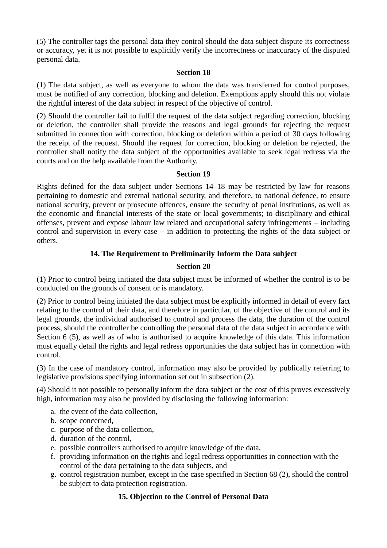(5) The controller tags the personal data they control should the data subject dispute its correctness or accuracy, yet it is not possible to explicitly verify the incorrectness or inaccuracy of the disputed personal data.

#### **Section 18**

(1) The data subject, as well as everyone to whom the data was transferred for control purposes, must be notified of any correction, blocking and deletion. Exemptions apply should this not violate the rightful interest of the data subject in respect of the objective of control.

(2) Should the controller fail to fulfil the request of the data subject regarding correction, blocking or deletion, the controller shall provide the reasons and legal grounds for rejecting the request submitted in connection with correction, blocking or deletion within a period of 30 days following the receipt of the request. Should the request for correction, blocking or deletion be rejected, the controller shall notify the data subject of the opportunities available to seek legal redress via the courts and on the help available from the Authority.

## **Section 19**

Rights defined for the data subject under Sections 14–18 may be restricted by law for reasons pertaining to domestic and external national security, and therefore, to national defence, to ensure national security, prevent or prosecute offences, ensure the security of penal institutions, as well as the economic and financial interests of the state or local governments; to disciplinary and ethical offenses, prevent and expose labour law related and occupational safety infringements – including control and supervision in every case – in addition to protecting the rights of the data subject or others.

## **14. The Requirement to Preliminarily Inform the Data subject**

## **Section 20**

(1) Prior to control being initiated the data subject must be informed of whether the control is to be conducted on the grounds of consent or is mandatory.

(2) Prior to control being initiated the data subject must be explicitly informed in detail of every fact relating to the control of their data, and therefore in particular, of the objective of the control and its legal grounds, the individual authorised to control and process the data, the duration of the control process, should the controller be controlling the personal data of the data subject in accordance with Section 6 (5), as well as of who is authorised to acquire knowledge of this data. This information must equally detail the rights and legal redress opportunities the data subject has in connection with control.

(3) In the case of mandatory control, information may also be provided by publically referring to legislative provisions specifying information set out in subsection (2).

(4) Should it not possible to personally inform the data subject or the cost of this proves excessively high, information may also be provided by disclosing the following information:

- a. the event of the data collection,
- b. scope concerned,
- c. purpose of the data collection,
- d. duration of the control,
- e. possible controllers authorised to acquire knowledge of the data,
- f. providing information on the rights and legal redress opportunities in connection with the control of the data pertaining to the data subjects, and
- g. control registration number, except in the case specified in Section 68 (2), should the control be subject to data protection registration.

## **15. Objection to the Control of Personal Data**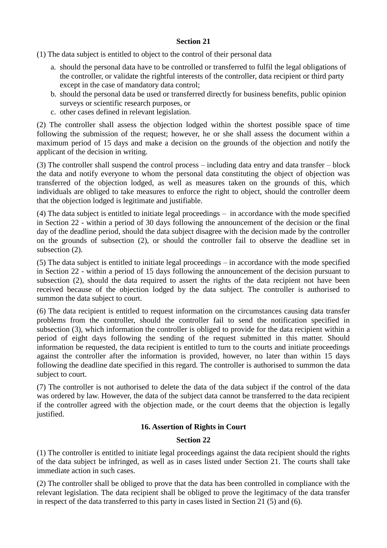## **Section 21**

(1) The data subject is entitled to object to the control of their personal data

- a. should the personal data have to be controlled or transferred to fulfil the legal obligations of the controller, or validate the rightful interests of the controller, data recipient or third party except in the case of mandatory data control;
- b. should the personal data be used or transferred directly for business benefits, public opinion surveys or scientific research purposes, or
- c. other cases defined in relevant legislation.

(2) The controller shall assess the objection lodged within the shortest possible space of time following the submission of the request; however, he or she shall assess the document within a maximum period of 15 days and make a decision on the grounds of the objection and notify the applicant of the decision in writing.

(3) The controller shall suspend the control process – including data entry and data transfer – block the data and notify everyone to whom the personal data constituting the object of objection was transferred of the objection lodged, as well as measures taken on the grounds of this, which individuals are obliged to take measures to enforce the right to object, should the controller deem that the objection lodged is legitimate and justifiable.

(4) The data subject is entitled to initiate legal proceedings – in accordance with the mode specified in Section 22 - within a period of 30 days following the announcement of the decision or the final day of the deadline period, should the data subject disagree with the decision made by the controller on the grounds of subsection (2), or should the controller fail to observe the deadline set in subsection  $(2)$ .

(5) The data subject is entitled to initiate legal proceedings – in accordance with the mode specified in Section 22 - within a period of 15 days following the announcement of the decision pursuant to subsection (2), should the data required to assert the rights of the data recipient not have been received because of the objection lodged by the data subject. The controller is authorised to summon the data subject to court.

(6) The data recipient is entitled to request information on the circumstances causing data transfer problems from the controller, should the controller fail to send the notification specified in subsection (3), which information the controller is obliged to provide for the data recipient within a period of eight days following the sending of the request submitted in this matter. Should information be requested, the data recipient is entitled to turn to the courts and initiate proceedings against the controller after the information is provided, however, no later than within 15 days following the deadline date specified in this regard. The controller is authorised to summon the data subject to court.

(7) The controller is not authorised to delete the data of the data subject if the control of the data was ordered by law. However, the data of the subject data cannot be transferred to the data recipient if the controller agreed with the objection made, or the court deems that the objection is legally justified.

## **16. Assertion of Rights in Court**

## **Section 22**

(1) The controller is entitled to initiate legal proceedings against the data recipient should the rights of the data subject be infringed, as well as in cases listed under Section 21. The courts shall take immediate action in such cases.

(2) The controller shall be obliged to prove that the data has been controlled in compliance with the relevant legislation. The data recipient shall be obliged to prove the legitimacy of the data transfer in respect of the data transferred to this party in cases listed in Section 21 (5) and (6).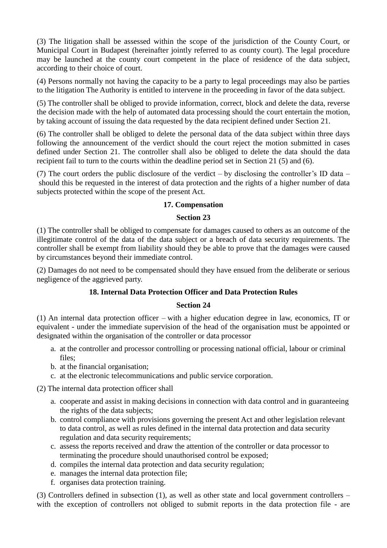(3) The litigation shall be assessed within the scope of the jurisdiction of the County Court, or Municipal Court in Budapest (hereinafter jointly referred to as county court). The legal procedure may be launched at the county court competent in the place of residence of the data subject, according to their choice of court.

(4) Persons normally not having the capacity to be a party to legal proceedings may also be parties to the litigation The Authority is entitled to intervene in the proceeding in favor of the data subject.

(5) The controller shall be obliged to provide information, correct, block and delete the data, reverse the decision made with the help of automated data processing should the court entertain the motion, by taking account of issuing the data requested by the data recipient defined under Section 21.

(6) The controller shall be obliged to delete the personal data of the data subject within three days following the announcement of the verdict should the court reject the motion submitted in cases defined under Section 21. The controller shall also be obliged to delete the data should the data recipient fail to turn to the courts within the deadline period set in Section 21 (5) and (6).

(7) The court orders the public disclosure of the verdict – by disclosing the controller's ID data – should this be requested in the interest of data protection and the rights of a higher number of data subjects protected within the scope of the present Act.

## **17. Compensation**

## **Section 23**

(1) The controller shall be obliged to compensate for damages caused to others as an outcome of the illegitimate control of the data of the data subject or a breach of data security requirements. The controller shall be exempt from liability should they be able to prove that the damages were caused by circumstances beyond their immediate control.

(2) Damages do not need to be compensated should they have ensued from the deliberate or serious negligence of the aggrieved party.

## **18. Internal Data Protection Officer and Data Protection Rules**

#### **Section 24**

(1) An internal data protection officer – with a higher education degree in law, economics, IT or equivalent - under the immediate supervision of the head of the organisation must be appointed or designated within the organisation of the controller or data processor

- a. at the controller and processor controlling or processing national official, labour or criminal files;
- b. at the financial organisation;
- c. at the electronic telecommunications and public service corporation.

(2) The internal data protection officer shall

- a. cooperate and assist in making decisions in connection with data control and in guaranteeing the rights of the data subjects;
- b. control compliance with provisions governing the present Act and other legislation relevant to data control, as well as rules defined in the internal data protection and data security regulation and data security requirements;
- c. assess the reports received and draw the attention of the controller or data processor to terminating the procedure should unauthorised control be exposed;
- d. compiles the internal data protection and data security regulation;
- e. manages the internal data protection file;
- f. organises data protection training.

(3) Controllers defined in subsection (1), as well as other state and local government controllers – with the exception of controllers not obliged to submit reports in the data protection file - are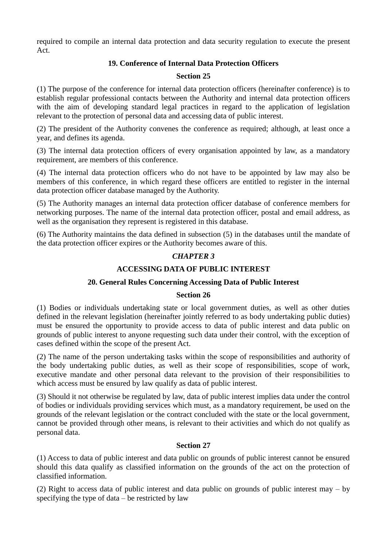required to compile an internal data protection and data security regulation to execute the present Act.

## **19. Conference of Internal Data Protection Officers**

## **Section 25**

(1) The purpose of the conference for internal data protection officers (hereinafter conference) is to establish regular professional contacts between the Authority and internal data protection officers with the aim of developing standard legal practices in regard to the application of legislation relevant to the protection of personal data and accessing data of public interest.

(2) The president of the Authority convenes the conference as required; although, at least once a year, and defines its agenda.

(3) The internal data protection officers of every organisation appointed by law, as a mandatory requirement, are members of this conference.

(4) The internal data protection officers who do not have to be appointed by law may also be members of this conference, in which regard these officers are entitled to register in the internal data protection officer database managed by the Authority.

(5) The Authority manages an internal data protection officer database of conference members for networking purposes. The name of the internal data protection officer, postal and email address, as well as the organisation they represent is registered in this database.

(6) The Authority maintains the data defined in subsection (5) in the databases until the mandate of the data protection officer expires or the Authority becomes aware of this.

## *CHAPTER 3*

## **ACCESSING DATA OF PUBLIC INTEREST**

## **20. General Rules Concerning Accessing Data of Public Interest**

## **Section 26**

(1) Bodies or individuals undertaking state or local government duties, as well as other duties defined in the relevant legislation (hereinafter jointly referred to as body undertaking public duties) must be ensured the opportunity to provide access to data of public interest and data public on grounds of public interest to anyone requesting such data under their control, with the exception of cases defined within the scope of the present Act.

(2) The name of the person undertaking tasks within the scope of responsibilities and authority of the body undertaking public duties, as well as their scope of responsibilities, scope of work, executive mandate and other personal data relevant to the provision of their responsibilities to which access must be ensured by law qualify as data of public interest.

(3) Should it not otherwise be regulated by law, data of public interest implies data under the control of bodies or individuals providing services which must, as a mandatory requirement, be used on the grounds of the relevant legislation or the contract concluded with the state or the local government, cannot be provided through other means, is relevant to their activities and which do not qualify as personal data.

## **Section 27**

(1) Access to data of public interest and data public on grounds of public interest cannot be ensured should this data qualify as classified information on the grounds of the act on the protection of classified information.

(2) Right to access data of public interest and data public on grounds of public interest may – by specifying the type of data – be restricted by law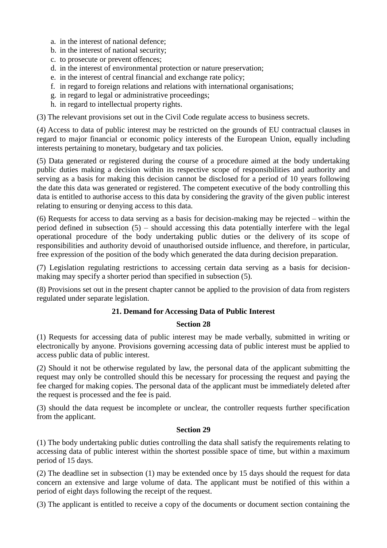- a. in the interest of national defence;
- b. in the interest of national security;
- c. to prosecute or prevent offences;
- d. in the interest of environmental protection or nature preservation;
- e. in the interest of central financial and exchange rate policy;
- f. in regard to foreign relations and relations with international organisations;
- g. in regard to legal or administrative proceedings;
- h. in regard to intellectual property rights.

(3) The relevant provisions set out in the Civil Code regulate access to business secrets.

(4) Access to data of public interest may be restricted on the grounds of EU contractual clauses in regard to major financial or economic policy interests of the European Union, equally including interests pertaining to monetary, budgetary and tax policies.

(5) Data generated or registered during the course of a procedure aimed at the body undertaking public duties making a decision within its respective scope of responsibilities and authority and serving as a basis for making this decision cannot be disclosed for a period of 10 years following the date this data was generated or registered. The competent executive of the body controlling this data is entitled to authorise access to this data by considering the gravity of the given public interest relating to ensuring or denying access to this data.

(6) Requests for access to data serving as a basis for decision-making may be rejected – within the period defined in subsection (5) – should accessing this data potentially interfere with the legal operational procedure of the body undertaking public duties or the delivery of its scope of responsibilities and authority devoid of unauthorised outside influence, and therefore, in particular, free expression of the position of the body which generated the data during decision preparation.

(7) Legislation regulating restrictions to accessing certain data serving as a basis for decisionmaking may specify a shorter period than specified in subsection (5).

(8) Provisions set out in the present chapter cannot be applied to the provision of data from registers regulated under separate legislation.

## **21. Demand for Accessing Data of Public Interest**

#### **Section 28**

(1) Requests for accessing data of public interest may be made verbally, submitted in writing or electronically by anyone. Provisions governing accessing data of public interest must be applied to access public data of public interest.

(2) Should it not be otherwise regulated by law, the personal data of the applicant submitting the request may only be controlled should this be necessary for processing the request and paying the fee charged for making copies. The personal data of the applicant must be immediately deleted after the request is processed and the fee is paid.

(3) should the data request be incomplete or unclear, the controller requests further specification from the applicant.

#### **Section 29**

(1) The body undertaking public duties controlling the data shall satisfy the requirements relating to accessing data of public interest within the shortest possible space of time, but within a maximum period of 15 days.

(2) The deadline set in subsection (1) may be extended once by 15 days should the request for data concern an extensive and large volume of data. The applicant must be notified of this within a period of eight days following the receipt of the request.

(3) The applicant is entitled to receive a copy of the documents or document section containing the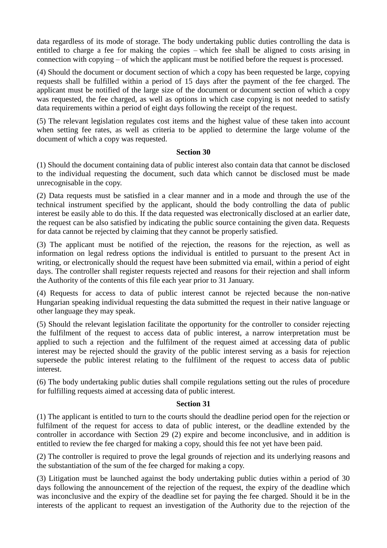data regardless of its mode of storage. The body undertaking public duties controlling the data is entitled to charge a fee for making the copies – which fee shall be aligned to costs arising in connection with copying – of which the applicant must be notified before the request is processed.

(4) Should the document or document section of which a copy has been requested be large, copying requests shall be fulfilled within a period of 15 days after the payment of the fee charged. The applicant must be notified of the large size of the document or document section of which a copy was requested, the fee charged, as well as options in which case copying is not needed to satisfy data requirements within a period of eight days following the receipt of the request.

(5) The relevant legislation regulates cost items and the highest value of these taken into account when setting fee rates, as well as criteria to be applied to determine the large volume of the document of which a copy was requested.

#### **Section 30**

(1) Should the document containing data of public interest also contain data that cannot be disclosed to the individual requesting the document, such data which cannot be disclosed must be made unrecognisable in the copy.

(2) Data requests must be satisfied in a clear manner and in a mode and through the use of the technical instrument specified by the applicant, should the body controlling the data of public interest be easily able to do this. If the data requested was electronically disclosed at an earlier date, the request can be also satisfied by indicating the public source containing the given data. Requests for data cannot be rejected by claiming that they cannot be properly satisfied.

(3) The applicant must be notified of the rejection, the reasons for the rejection, as well as information on legal redress options the individual is entitled to pursuant to the present Act in writing, or electronically should the request have been submitted via email, within a period of eight days. The controller shall register requests rejected and reasons for their rejection and shall inform the Authority of the contents of this file each year prior to 31 January.

(4) Requests for access to data of public interest cannot be rejected because the non-native Hungarian speaking individual requesting the data submitted the request in their native language or other language they may speak.

(5) Should the relevant legislation facilitate the opportunity for the controller to consider rejecting the fulfilment of the request to access data of public interest, a narrow interpretation must be applied to such a rejection and the fulfilment of the request aimed at accessing data of public interest may be rejected should the gravity of the public interest serving as a basis for rejection supersede the public interest relating to the fulfilment of the request to access data of public interest.

(6) The body undertaking public duties shall compile regulations setting out the rules of procedure for fulfilling requests aimed at accessing data of public interest.

## **Section 31**

(1) The applicant is entitled to turn to the courts should the deadline period open for the rejection or fulfilment of the request for access to data of public interest, or the deadline extended by the controller in accordance with Section 29 (2) expire and become inconclusive, and in addition is entitled to review the fee charged for making a copy, should this fee not yet have been paid.

(2) The controller is required to prove the legal grounds of rejection and its underlying reasons and the substantiation of the sum of the fee charged for making a copy.

(3) Litigation must be launched against the body undertaking public duties within a period of 30 days following the announcement of the rejection of the request, the expiry of the deadline which was inconclusive and the expiry of the deadline set for paying the fee charged. Should it be in the interests of the applicant to request an investigation of the Authority due to the rejection of the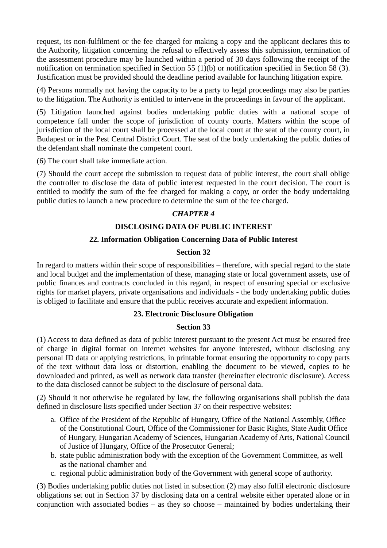request, its non-fulfilment or the fee charged for making a copy and the applicant declares this to the Authority, litigation concerning the refusal to effectively assess this submission, termination of the assessment procedure may be launched within a period of 30 days following the receipt of the notification on termination specified in Section 55 (1)(b) or notification specified in Section 58 (3). Justification must be provided should the deadline period available for launching litigation expire.

(4) Persons normally not having the capacity to be a party to legal proceedings may also be parties to the litigation. The Authority is entitled to intervene in the proceedings in favour of the applicant.

(5) Litigation launched against bodies undertaking public duties with a national scope of competence fall under the scope of jurisdiction of county courts. Matters within the scope of jurisdiction of the local court shall be processed at the local court at the seat of the county court, in Budapest or in the Pest Central District Court. The seat of the body undertaking the public duties of the defendant shall nominate the competent court.

(6) The court shall take immediate action.

(7) Should the court accept the submission to request data of public interest, the court shall oblige the controller to disclose the data of public interest requested in the court decision. The court is entitled to modify the sum of the fee charged for making a copy, or order the body undertaking public duties to launch a new procedure to determine the sum of the fee charged.

## *CHAPTER 4*

## **DISCLOSING DATA OF PUBLIC INTEREST**

## **22. Information Obligation Concerning Data of Public Interest**

#### **Section 32**

In regard to matters within their scope of responsibilities – therefore, with special regard to the state and local budget and the implementation of these, managing state or local government assets, use of public finances and contracts concluded in this regard, in respect of ensuring special or exclusive rights for market players, private organisations and individuals - the body undertaking public duties is obliged to facilitate and ensure that the public receives accurate and expedient information.

## **23. Electronic Disclosure Obligation**

#### **Section 33**

(1) Access to data defined as data of public interest pursuant to the present Act must be ensured free of charge in digital format on internet websites for anyone interested, without disclosing any personal ID data or applying restrictions, in printable format ensuring the opportunity to copy parts of the text without data loss or distortion, enabling the document to be viewed, copies to be downloaded and printed, as well as network data transfer (hereinafter electronic disclosure). Access to the data disclosed cannot be subject to the disclosure of personal data.

(2) Should it not otherwise be regulated by law, the following organisations shall publish the data defined in disclosure lists specified under Section 37 on their respective websites:

- a. Office of the President of the Republic of Hungary, Office of the National Assembly, Office of the Constitutional Court, Office of the Commissioner for Basic Rights, State Audit Office of Hungary, Hungarian Academy of Sciences, Hungarian Academy of Arts, National Council of Justice of Hungary, Office of the Prosecutor General;
- b. state public administration body with the exception of the Government Committee, as well as the national chamber and
- c. regional public administration body of the Government with general scope of authority.

(3) Bodies undertaking public duties not listed in subsection (2) may also fulfil electronic disclosure obligations set out in Section 37 by disclosing data on a central website either operated alone or in conjunction with associated bodies – as they so choose – maintained by bodies undertaking their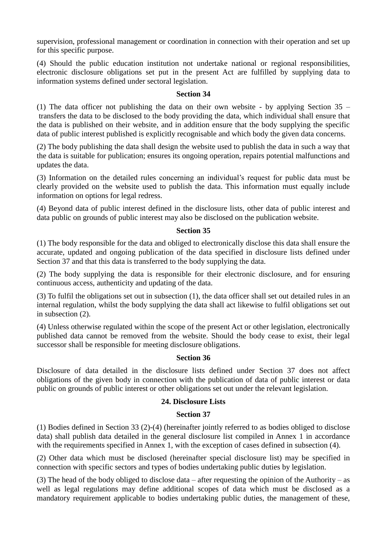supervision, professional management or coordination in connection with their operation and set up for this specific purpose.

(4) Should the public education institution not undertake national or regional responsibilities, electronic disclosure obligations set put in the present Act are fulfilled by supplying data to information systems defined under sectoral legislation.

#### **Section 34**

(1) The data officer not publishing the data on their own website - by applying Section  $35$ transfers the data to be disclosed to the body providing the data, which individual shall ensure that the data is published on their website, and in addition ensure that the body supplying the specific data of public interest published is explicitly recognisable and which body the given data concerns.

(2) The body publishing the data shall design the website used to publish the data in such a way that the data is suitable for publication; ensures its ongoing operation, repairs potential malfunctions and updates the data.

(3) Information on the detailed rules concerning an individual's request for public data must be clearly provided on the website used to publish the data. This information must equally include information on options for legal redress.

(4) Beyond data of public interest defined in the disclosure lists, other data of public interest and data public on grounds of public interest may also be disclosed on the publication website.

#### **Section 35**

(1) The body responsible for the data and obliged to electronically disclose this data shall ensure the accurate, updated and ongoing publication of the data specified in disclosure lists defined under Section 37 and that this data is transferred to the body supplying the data.

(2) The body supplying the data is responsible for their electronic disclosure, and for ensuring continuous access, authenticity and updating of the data.

(3) To fulfil the obligations set out in subsection (1), the data officer shall set out detailed rules in an internal regulation, whilst the body supplying the data shall act likewise to fulfil obligations set out in subsection (2).

(4) Unless otherwise regulated within the scope of the present Act or other legislation, electronically published data cannot be removed from the website. Should the body cease to exist, their legal successor shall be responsible for meeting disclosure obligations.

#### **Section 36**

Disclosure of data detailed in the disclosure lists defined under Section 37 does not affect obligations of the given body in connection with the publication of data of public interest or data public on grounds of public interest or other obligations set out under the relevant legislation.

#### **24. Disclosure Lists**

#### **Section 37**

(1) Bodies defined in Section 33 (2)-(4) (hereinafter jointly referred to as bodies obliged to disclose data) shall publish data detailed in the general disclosure list compiled in Annex 1 in accordance with the requirements specified in Annex 1, with the exception of cases defined in subsection (4).

(2) Other data which must be disclosed (hereinafter special disclosure list) may be specified in connection with specific sectors and types of bodies undertaking public duties by legislation.

(3) The head of the body obliged to disclose data – after requesting the opinion of the Authority – as well as legal regulations may define additional scopes of data which must be disclosed as a mandatory requirement applicable to bodies undertaking public duties, the management of these,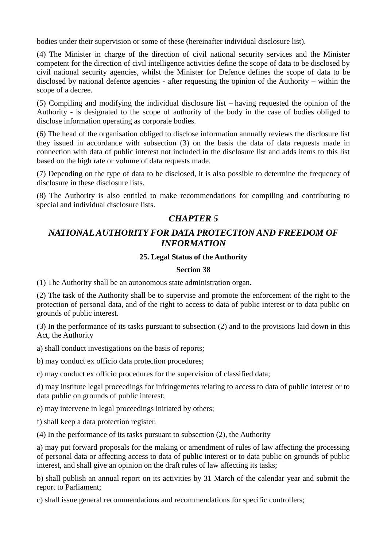bodies under their supervision or some of these (hereinafter individual disclosure list).

(4) The Minister in charge of the direction of civil national security services and the Minister competent for the direction of civil intelligence activities define the scope of data to be disclosed by civil national security agencies, whilst the Minister for Defence defines the scope of data to be disclosed by national defence agencies - after requesting the opinion of the Authority – within the scope of a decree.

(5) Compiling and modifying the individual disclosure list – having requested the opinion of the Authority - is designated to the scope of authority of the body in the case of bodies obliged to disclose information operating as corporate bodies.

(6) The head of the organisation obliged to disclose information annually reviews the disclosure list they issued in accordance with subsection (3) on the basis the data of data requests made in connection with data of public interest not included in the disclosure list and adds items to this list based on the high rate or volume of data requests made.

(7) Depending on the type of data to be disclosed, it is also possible to determine the frequency of disclosure in these disclosure lists.

(8) The Authority is also entitled to make recommendations for compiling and contributing to special and individual disclosure lists.

# *CHAPTER 5*

# *NATIONAL AUTHORITY FOR DATA PROTECTION AND FREEDOM OF INFORMATION*

## **25. Legal Status of the Authority**

## **Section 38**

(1) The Authority shall be an autonomous state administration organ.

(2) The task of the Authority shall be to supervise and promote the enforcement of the right to the protection of personal data, and of the right to access to data of public interest or to data public on grounds of public interest.

(3) In the performance of its tasks pursuant to subsection (2) and to the provisions laid down in this Act, the Authority

a) shall conduct investigations on the basis of reports;

b) may conduct ex officio data protection procedures;

c) may conduct ex officio procedures for the supervision of classified data;

d) may institute legal proceedings for infringements relating to access to data of public interest or to data public on grounds of public interest;

e) may intervene in legal proceedings initiated by others;

f) shall keep a data protection register.

(4) In the performance of its tasks pursuant to subsection (2), the Authority

a) may put forward proposals for the making or amendment of rules of law affecting the processing of personal data or affecting access to data of public interest or to data public on grounds of public interest, and shall give an opinion on the draft rules of law affecting its tasks;

b) shall publish an annual report on its activities by 31 March of the calendar year and submit the report to Parliament;

c) shall issue general recommendations and recommendations for specific controllers;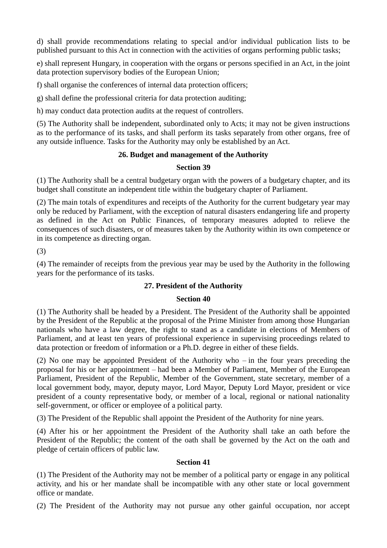d) shall provide recommendations relating to special and/or individual publication lists to be published pursuant to this Act in connection with the activities of organs performing public tasks;

e) shall represent Hungary, in cooperation with the organs or persons specified in an Act, in the joint data protection supervisory bodies of the European Union;

f) shall organise the conferences of internal data protection officers;

g) shall define the professional criteria for data protection auditing;

h) may conduct data protection audits at the request of controllers.

(5) The Authority shall be independent, subordinated only to Acts; it may not be given instructions as to the performance of its tasks, and shall perform its tasks separately from other organs, free of any outside influence. Tasks for the Authority may only be established by an Act.

## **26. Budget and management of the Authority**

## **Section 39**

(1) The Authority shall be a central budgetary organ with the powers of a budgetary chapter, and its budget shall constitute an independent title within the budgetary chapter of Parliament.

(2) The main totals of expenditures and receipts of the Authority for the current budgetary year may only be reduced by Parliament, with the exception of natural disasters endangering life and property as defined in the Act on Public Finances, of temporary measures adopted to relieve the consequences of such disasters, or of measures taken by the Authority within its own competence or in its competence as directing organ.

(3)

(4) The remainder of receipts from the previous year may be used by the Authority in the following years for the performance of its tasks.

## **27. President of the Authority**

#### **Section 40**

(1) The Authority shall be headed by a President. The President of the Authority shall be appointed by the President of the Republic at the proposal of the Prime Minister from among those Hungarian nationals who have a law degree, the right to stand as a candidate in elections of Members of Parliament, and at least ten years of professional experience in supervising proceedings related to data protection or freedom of information or a Ph.D. degree in either of these fields.

(2) No one may be appointed President of the Authority who – in the four years preceding the proposal for his or her appointment – had been a Member of Parliament, Member of the European Parliament, President of the Republic, Member of the Government, state secretary, member of a local government body, mayor, deputy mayor, Lord Mayor, Deputy Lord Mayor, president or vice president of a county representative body, or member of a local, regional or national nationality self-government, or officer or employee of a political party.

(3) The President of the Republic shall appoint the President of the Authority for nine years.

(4) After his or her appointment the President of the Authority shall take an oath before the President of the Republic; the content of the oath shall be governed by the Act on the oath and pledge of certain officers of public law.

#### **Section 41**

(1) The President of the Authority may not be member of a political party or engage in any political activity, and his or her mandate shall be incompatible with any other state or local government office or mandate.

(2) The President of the Authority may not pursue any other gainful occupation, nor accept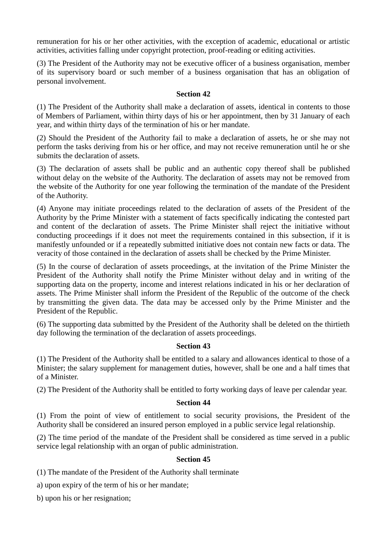remuneration for his or her other activities, with the exception of academic, educational or artistic activities, activities falling under copyright protection, proof-reading or editing activities.

(3) The President of the Authority may not be executive officer of a business organisation, member of its supervisory board or such member of a business organisation that has an obligation of personal involvement.

#### **Section 42**

(1) The President of the Authority shall make a declaration of assets, identical in contents to those of Members of Parliament, within thirty days of his or her appointment, then by 31 January of each year, and within thirty days of the termination of his or her mandate.

(2) Should the President of the Authority fail to make a declaration of assets, he or she may not perform the tasks deriving from his or her office, and may not receive remuneration until he or she submits the declaration of assets.

(3) The declaration of assets shall be public and an authentic copy thereof shall be published without delay on the website of the Authority. The declaration of assets may not be removed from the website of the Authority for one year following the termination of the mandate of the President of the Authority.

(4) Anyone may initiate proceedings related to the declaration of assets of the President of the Authority by the Prime Minister with a statement of facts specifically indicating the contested part and content of the declaration of assets. The Prime Minister shall reject the initiative without conducting proceedings if it does not meet the requirements contained in this subsection, if it is manifestly unfounded or if a repeatedly submitted initiative does not contain new facts or data. The veracity of those contained in the declaration of assets shall be checked by the Prime Minister.

(5) In the course of declaration of assets proceedings, at the invitation of the Prime Minister the President of the Authority shall notify the Prime Minister without delay and in writing of the supporting data on the property, income and interest relations indicated in his or her declaration of assets. The Prime Minister shall inform the President of the Republic of the outcome of the check by transmitting the given data. The data may be accessed only by the Prime Minister and the President of the Republic.

(6) The supporting data submitted by the President of the Authority shall be deleted on the thirtieth day following the termination of the declaration of assets proceedings.

## **Section 43**

(1) The President of the Authority shall be entitled to a salary and allowances identical to those of a Minister; the salary supplement for management duties, however, shall be one and a half times that of a Minister.

(2) The President of the Authority shall be entitled to forty working days of leave per calendar year.

#### **Section 44**

(1) From the point of view of entitlement to social security provisions, the President of the Authority shall be considered an insured person employed in a public service legal relationship.

(2) The time period of the mandate of the President shall be considered as time served in a public service legal relationship with an organ of public administration.

## **Section 45**

(1) The mandate of the President of the Authority shall terminate

a) upon expiry of the term of his or her mandate;

b) upon his or her resignation;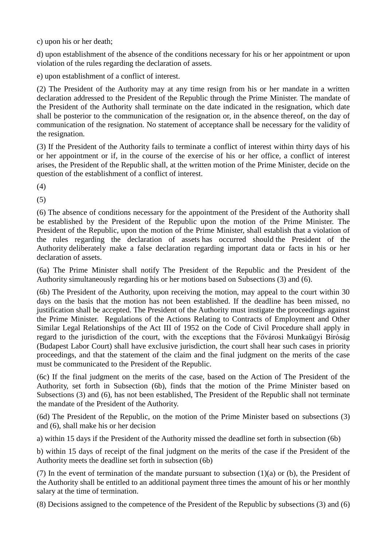c) upon his or her death;

d) upon establishment of the absence of the conditions necessary for his or her appointment or upon violation of the rules regarding the declaration of assets.

e) upon establishment of a conflict of interest.

(2) The President of the Authority may at any time resign from his or her mandate in a written declaration addressed to the President of the Republic through the Prime Minister. The mandate of the President of the Authority shall terminate on the date indicated in the resignation, which date shall be posterior to the communication of the resignation or, in the absence thereof, on the day of communication of the resignation. No statement of acceptance shall be necessary for the validity of the resignation.

(3) If the President of the Authority fails to terminate a conflict of interest within thirty days of his or her appointment or if, in the course of the exercise of his or her office, a conflict of interest arises, the President of the Republic shall, at the written motion of the Prime Minister, decide on the question of the establishment of a conflict of interest.

(4)

(5)

(6) The absence of conditions necessary for the appointment of the President of the Authority shall be established by the President of the Republic upon the motion of the Prime Minister. The President of the Republic, upon the motion of the Prime Minister, shall establish that a violation of the rules regarding the declaration of assets has occurred should the President of the Authority deliberately make a false declaration regarding important data or facts in his or her declaration of assets.

(6a) The Prime Minister shall notify The President of the Republic and the President of the Authority simultaneously regarding his or her motions based on Subsections (3) and (6).

(6b) The President of the Authority, upon receiving the motion, may appeal to the court within 30 days on the basis that the motion has not been established. If the deadline has been missed, no justification shall be accepted. The President of the Authority must instigate the proceedings against the Prime Minister. Regulations of the Actions Relating to Contracts of Employment and Other Similar Legal Relationships of the Act III of 1952 on the Code of Civil Procedure shall apply in regard to the jurisdiction of the court, with the exceptions that the Fővárosi Munkaügyi Bíróság (Budapest Labor Court) shall have exclusive jurisdiction, the court shall hear such cases in priority proceedings, and that the statement of the claim and the final judgment on the merits of the case must be communicated to the President of the Republic.

(6c) If the final judgment on the merits of the case, based on the Action of The President of the Authority, set forth in Subsection (6b), finds that the motion of the Prime Minister based on Subsections (3) and (6), has not been established, The President of the Republic shall not terminate the mandate of the President of the Authority.

(6d) The President of the Republic, on the motion of the Prime Minister based on subsections (3) and (6), shall make his or her decision

a) within 15 days if the President of the Authority missed the deadline set forth in subsection (6b)

b) within 15 days of receipt of the final judgment on the merits of the case if the President of the Authority meets the deadline set forth in subsection (6b)

(7) In the event of termination of the mandate pursuant to subsection (1)(a) or (b), the President of the Authority shall be entitled to an additional payment three times the amount of his or her monthly salary at the time of termination.

(8) Decisions assigned to the competence of the President of the Republic by subsections (3) and (6)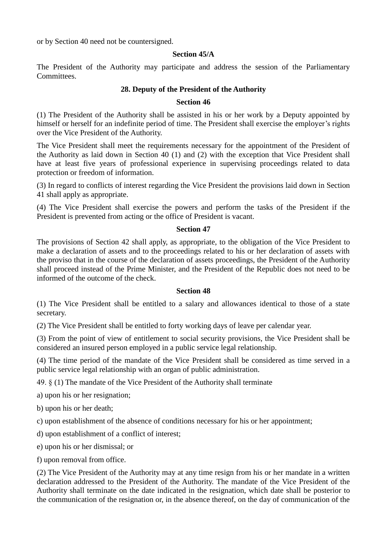or by Section 40 need not be countersigned.

#### **Section 45/A**

The President of the Authority may participate and address the session of the Parliamentary Committees.

## **28. Deputy of the President of the Authority**

#### **Section 46**

(1) The President of the Authority shall be assisted in his or her work by a Deputy appointed by himself or herself for an indefinite period of time. The President shall exercise the employer's rights over the Vice President of the Authority.

The Vice President shall meet the requirements necessary for the appointment of the President of the Authority as laid down in Section 40 (1) and (2) with the exception that Vice President shall have at least five years of professional experience in supervising proceedings related to data protection or freedom of information.

(3) In regard to conflicts of interest regarding the Vice President the provisions laid down in Section 41 shall apply as appropriate.

(4) The Vice President shall exercise the powers and perform the tasks of the President if the President is prevented from acting or the office of President is vacant.

## **Section 47**

The provisions of Section 42 shall apply, as appropriate, to the obligation of the Vice President to make a declaration of assets and to the proceedings related to his or her declaration of assets with the proviso that in the course of the declaration of assets proceedings, the President of the Authority shall proceed instead of the Prime Minister, and the President of the Republic does not need to be informed of the outcome of the check.

#### **Section 48**

(1) The Vice President shall be entitled to a salary and allowances identical to those of a state secretary.

(2) The Vice President shall be entitled to forty working days of leave per calendar year.

(3) From the point of view of entitlement to social security provisions, the Vice President shall be considered an insured person employed in a public service legal relationship.

(4) The time period of the mandate of the Vice President shall be considered as time served in a public service legal relationship with an organ of public administration.

49. § (1) The mandate of the Vice President of the Authority shall terminate

a) upon his or her resignation;

b) upon his or her death;

c) upon establishment of the absence of conditions necessary for his or her appointment;

d) upon establishment of a conflict of interest;

e) upon his or her dismissal; or

f) upon removal from office.

(2) The Vice President of the Authority may at any time resign from his or her mandate in a written declaration addressed to the President of the Authority. The mandate of the Vice President of the Authority shall terminate on the date indicated in the resignation, which date shall be posterior to the communication of the resignation or, in the absence thereof, on the day of communication of the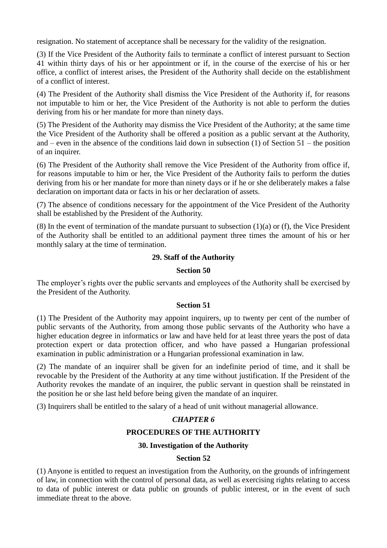resignation. No statement of acceptance shall be necessary for the validity of the resignation.

(3) If the Vice President of the Authority fails to terminate a conflict of interest pursuant to Section 41 within thirty days of his or her appointment or if, in the course of the exercise of his or her office, a conflict of interest arises, the President of the Authority shall decide on the establishment of a conflict of interest.

(4) The President of the Authority shall dismiss the Vice President of the Authority if, for reasons not imputable to him or her, the Vice President of the Authority is not able to perform the duties deriving from his or her mandate for more than ninety days.

(5) The President of the Authority may dismiss the Vice President of the Authority; at the same time the Vice President of the Authority shall be offered a position as a public servant at the Authority, and – even in the absence of the conditions laid down in subsection (1) of Section 51 – the position of an inquirer.

(6) The President of the Authority shall remove the Vice President of the Authority from office if, for reasons imputable to him or her, the Vice President of the Authority fails to perform the duties deriving from his or her mandate for more than ninety days or if he or she deliberately makes a false declaration on important data or facts in his or her declaration of assets.

(7) The absence of conditions necessary for the appointment of the Vice President of the Authority shall be established by the President of the Authority.

(8) In the event of termination of the mandate pursuant to subsection  $(1)(a)$  or  $(f)$ , the Vice President of the Authority shall be entitled to an additional payment three times the amount of his or her monthly salary at the time of termination.

## **29. Staff of the Authority**

#### **Section 50**

The employer's rights over the public servants and employees of the Authority shall be exercised by the President of the Authority.

#### **Section 51**

(1) The President of the Authority may appoint inquirers, up to twenty per cent of the number of public servants of the Authority, from among those public servants of the Authority who have a higher education degree in informatics or law and have held for at least three years the post of data protection expert or data protection officer, and who have passed a Hungarian professional examination in public administration or a Hungarian professional examination in law.

(2) The mandate of an inquirer shall be given for an indefinite period of time, and it shall be revocable by the President of the Authority at any time without justification. If the President of the Authority revokes the mandate of an inquirer, the public servant in question shall be reinstated in the position he or she last held before being given the mandate of an inquirer.

(3) Inquirers shall be entitled to the salary of a head of unit without managerial allowance.

#### *CHAPTER 6*

## **PROCEDURES OF THE AUTHORITY**

## **30. Investigation of the Authority**

#### **Section 52**

(1) Anyone is entitled to request an investigation from the Authority, on the grounds of infringement of law, in connection with the control of personal data, as well as exercising rights relating to access to data of public interest or data public on grounds of public interest, or in the event of such immediate threat to the above.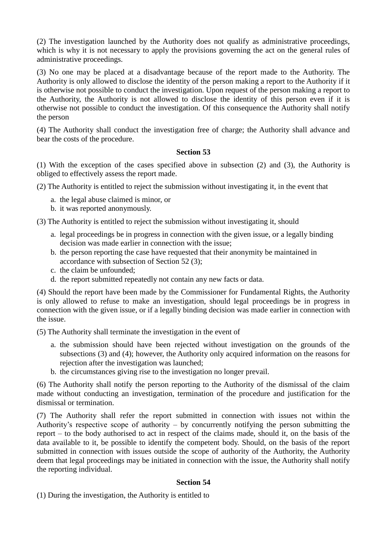(2) The investigation launched by the Authority does not qualify as administrative proceedings, which is why it is not necessary to apply the provisions governing the act on the general rules of administrative proceedings.

(3) No one may be placed at a disadvantage because of the report made to the Authority. The Authority is only allowed to disclose the identity of the person making a report to the Authority if it is otherwise not possible to conduct the investigation. Upon request of the person making a report to the Authority, the Authority is not allowed to disclose the identity of this person even if it is otherwise not possible to conduct the investigation. Of this consequence the Authority shall notify the person

(4) The Authority shall conduct the investigation free of charge; the Authority shall advance and bear the costs of the procedure.

## **Section 53**

(1) With the exception of the cases specified above in subsection (2) and (3), the Authority is obliged to effectively assess the report made.

(2) The Authority is entitled to reject the submission without investigating it, in the event that

- a. the legal abuse claimed is minor, or
- b. it was reported anonymously.

(3) The Authority is entitled to reject the submission without investigating it, should

- a. legal proceedings be in progress in connection with the given issue, or a legally binding decision was made earlier in connection with the issue;
- b. the person reporting the case have requested that their anonymity be maintained in accordance with subsection of Section 52 (3);
- c. the claim be unfounded;
- d. the report submitted repeatedly not contain any new facts or data.

(4) Should the report have been made by the Commissioner for Fundamental Rights, the Authority is only allowed to refuse to make an investigation, should legal proceedings be in progress in connection with the given issue, or if a legally binding decision was made earlier in connection with the issue.

(5) The Authority shall terminate the investigation in the event of

- a. the submission should have been rejected without investigation on the grounds of the subsections (3) and (4); however, the Authority only acquired information on the reasons for rejection after the investigation was launched;
- b. the circumstances giving rise to the investigation no longer prevail.

(6) The Authority shall notify the person reporting to the Authority of the dismissal of the claim made without conducting an investigation, termination of the procedure and justification for the dismissal or termination.

(7) The Authority shall refer the report submitted in connection with issues not within the Authority's respective scope of authority – by concurrently notifying the person submitting the report – to the body authorised to act in respect of the claims made, should it, on the basis of the data available to it, be possible to identify the competent body. Should, on the basis of the report submitted in connection with issues outside the scope of authority of the Authority, the Authority deem that legal proceedings may be initiated in connection with the issue, the Authority shall notify the reporting individual.

## **Section 54**

(1) During the investigation, the Authority is entitled to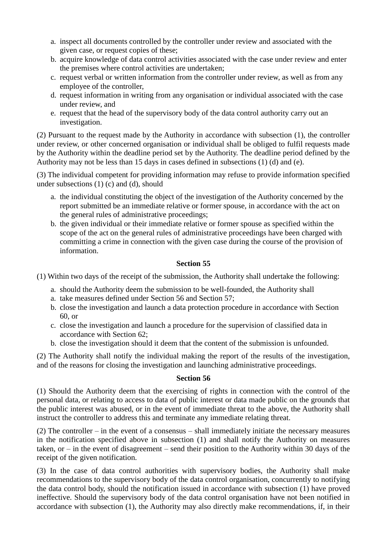- a. inspect all documents controlled by the controller under review and associated with the given case, or request copies of these;
- b. acquire knowledge of data control activities associated with the case under review and enter the premises where control activities are undertaken;
- c. request verbal or written information from the controller under review, as well as from any employee of the controller,
- d. request information in writing from any organisation or individual associated with the case under review, and
- e. request that the head of the supervisory body of the data control authority carry out an investigation.

(2) Pursuant to the request made by the Authority in accordance with subsection (1), the controller under review, or other concerned organisation or individual shall be obliged to fulfil requests made by the Authority within the deadline period set by the Authority. The deadline period defined by the Authority may not be less than 15 days in cases defined in subsections (1) (d) and (e).

(3) The individual competent for providing information may refuse to provide information specified under subsections (1) (c) and (d), should

- a. the individual constituting the object of the investigation of the Authority concerned by the report submitted be an immediate relative or former spouse, in accordance with the act on the general rules of administrative proceedings;
- b. the given individual or their immediate relative or former spouse as specified within the scope of the act on the general rules of administrative proceedings have been charged with committing a crime in connection with the given case during the course of the provision of information.

## **Section 55**

(1) Within two days of the receipt of the submission, the Authority shall undertake the following:

- a. should the Authority deem the submission to be well-founded, the Authority shall
- a. take measures defined under Section 56 and Section 57;
- b. close the investigation and launch a data protection procedure in accordance with Section 60, or
- c. close the investigation and launch a procedure for the supervision of classified data in accordance with Section 62;
- b. close the investigation should it deem that the content of the submission is unfounded.

(2) The Authority shall notify the individual making the report of the results of the investigation, and of the reasons for closing the investigation and launching administrative proceedings.

#### **Section 56**

(1) Should the Authority deem that the exercising of rights in connection with the control of the personal data, or relating to access to data of public interest or data made public on the grounds that the public interest was abused, or in the event of immediate threat to the above, the Authority shall instruct the controller to address this and terminate any immediate relating threat.

(2) The controller – in the event of a consensus – shall immediately initiate the necessary measures in the notification specified above in subsection (1) and shall notify the Authority on measures taken, or – in the event of disagreement – send their position to the Authority within 30 days of the receipt of the given notification.

(3) In the case of data control authorities with supervisory bodies, the Authority shall make recommendations to the supervisory body of the data control organisation, concurrently to notifying the data control body, should the notification issued in accordance with subsection (1) have proved ineffective. Should the supervisory body of the data control organisation have not been notified in accordance with subsection (1), the Authority may also directly make recommendations, if, in their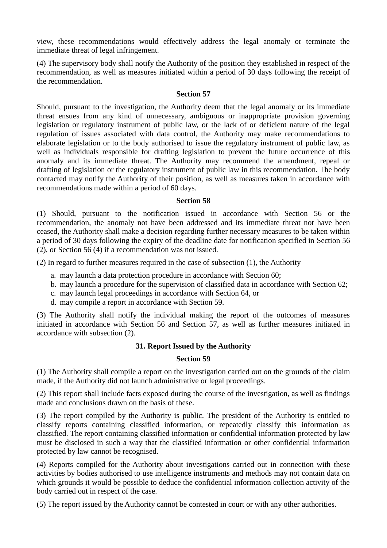view, these recommendations would effectively address the legal anomaly or terminate the immediate threat of legal infringement.

(4) The supervisory body shall notify the Authority of the position they established in respect of the recommendation, as well as measures initiated within a period of 30 days following the receipt of the recommendation.

#### **Section 57**

Should, pursuant to the investigation, the Authority deem that the legal anomaly or its immediate threat ensues from any kind of unnecessary, ambiguous or inappropriate provision governing legislation or regulatory instrument of public law, or the lack of or deficient nature of the legal regulation of issues associated with data control, the Authority may make recommendations to elaborate legislation or to the body authorised to issue the regulatory instrument of public law, as well as individuals responsible for drafting legislation to prevent the future occurrence of this anomaly and its immediate threat. The Authority may recommend the amendment, repeal or drafting of legislation or the regulatory instrument of public law in this recommendation. The body contacted may notify the Authority of their position, as well as measures taken in accordance with recommendations made within a period of 60 days.

#### **Section 58**

(1) Should, pursuant to the notification issued in accordance with Section 56 or the recommendation, the anomaly not have been addressed and its immediate threat not have been ceased, the Authority shall make a decision regarding further necessary measures to be taken within a period of 30 days following the expiry of the deadline date for notification specified in Section 56 (2), or Section 56 (4) if a recommendation was not issued.

(2) In regard to further measures required in the case of subsection (1), the Authority

- a. may launch a data protection procedure in accordance with Section 60;
- b. may launch a procedure for the supervision of classified data in accordance with Section 62;
- c. may launch legal proceedings in accordance with Section 64, or
- d. may compile a report in accordance with Section 59.

(3) The Authority shall notify the individual making the report of the outcomes of measures initiated in accordance with Section 56 and Section 57, as well as further measures initiated in accordance with subsection (2).

#### **31. Report Issued by the Authority**

#### **Section 59**

(1) The Authority shall compile a report on the investigation carried out on the grounds of the claim made, if the Authority did not launch administrative or legal proceedings.

(2) This report shall include facts exposed during the course of the investigation, as well as findings made and conclusions drawn on the basis of these.

(3) The report compiled by the Authority is public. The president of the Authority is entitled to classify reports containing classified information, or repeatedly classify this information as classified. The report containing classified information or confidential information protected by law must be disclosed in such a way that the classified information or other confidential information protected by law cannot be recognised.

(4) Reports compiled for the Authority about investigations carried out in connection with these activities by bodies authorised to use intelligence instruments and methods may not contain data on which grounds it would be possible to deduce the confidential information collection activity of the body carried out in respect of the case.

(5) The report issued by the Authority cannot be contested in court or with any other authorities.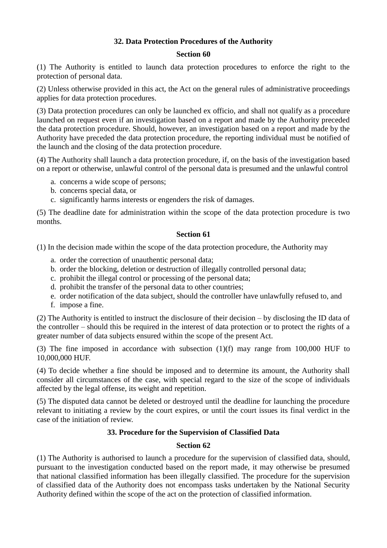## **32. Data Protection Procedures of the Authority**

#### **Section 60**

(1) The Authority is entitled to launch data protection procedures to enforce the right to the protection of personal data.

(2) Unless otherwise provided in this act, the Act on the general rules of administrative proceedings applies for data protection procedures.

(3) Data protection procedures can only be launched ex officio, and shall not qualify as a procedure launched on request even if an investigation based on a report and made by the Authority preceded the data protection procedure. Should, however, an investigation based on a report and made by the Authority have preceded the data protection procedure, the reporting individual must be notified of the launch and the closing of the data protection procedure.

(4) The Authority shall launch a data protection procedure, if, on the basis of the investigation based on a report or otherwise, unlawful control of the personal data is presumed and the unlawful control

- a. concerns a wide scope of persons;
- b. concerns special data, or
- c. significantly harms interests or engenders the risk of damages.

(5) The deadline date for administration within the scope of the data protection procedure is two months.

## **Section 61**

(1) In the decision made within the scope of the data protection procedure, the Authority may

- a. order the correction of unauthentic personal data;
- b. order the blocking, deletion or destruction of illegally controlled personal data;
- c. prohibit the illegal control or processing of the personal data;
- d. prohibit the transfer of the personal data to other countries;
- e. order notification of the data subject, should the controller have unlawfully refused to, and
- f. impose a fine.

(2) The Authority is entitled to instruct the disclosure of their decision – by disclosing the ID data of the controller – should this be required in the interest of data protection or to protect the rights of a greater number of data subjects ensured within the scope of the present Act.

(3) The fine imposed in accordance with subsection (1)(f) may range from 100,000 HUF to 10,000,000 HUF.

(4) To decide whether a fine should be imposed and to determine its amount, the Authority shall consider all circumstances of the case, with special regard to the size of the scope of individuals affected by the legal offense, its weight and repetition.

(5) The disputed data cannot be deleted or destroyed until the deadline for launching the procedure relevant to initiating a review by the court expires, or until the court issues its final verdict in the case of the initiation of review.

## **33. Procedure for the Supervision of Classified Data**

## **Section 62**

(1) The Authority is authorised to launch a procedure for the supervision of classified data, should, pursuant to the investigation conducted based on the report made, it may otherwise be presumed that national classified information has been illegally classified. The procedure for the supervision of classified data of the Authority does not encompass tasks undertaken by the National Security Authority defined within the scope of the act on the protection of classified information.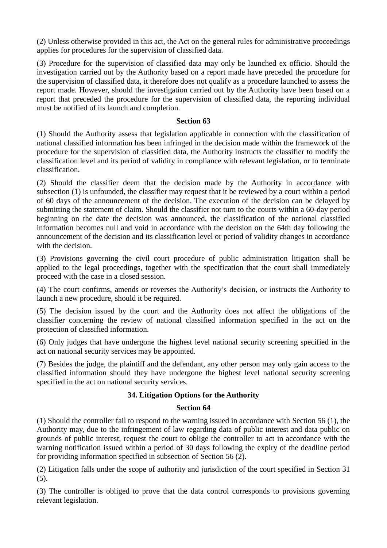(2) Unless otherwise provided in this act, the Act on the general rules for administrative proceedings applies for procedures for the supervision of classified data.

(3) Procedure for the supervision of classified data may only be launched ex officio. Should the investigation carried out by the Authority based on a report made have preceded the procedure for the supervision of classified data, it therefore does not qualify as a procedure launched to assess the report made. However, should the investigation carried out by the Authority have been based on a report that preceded the procedure for the supervision of classified data, the reporting individual must be notified of its launch and completion.

## **Section 63**

(1) Should the Authority assess that legislation applicable in connection with the classification of national classified information has been infringed in the decision made within the framework of the procedure for the supervision of classified data, the Authority instructs the classifier to modify the classification level and its period of validity in compliance with relevant legislation, or to terminate classification.

(2) Should the classifier deem that the decision made by the Authority in accordance with subsection (1) is unfounded, the classifier may request that it be reviewed by a court within a period of 60 days of the announcement of the decision. The execution of the decision can be delayed by submitting the statement of claim. Should the classifier not turn to the courts within a 60-day period beginning on the date the decision was announced, the classification of the national classified information becomes null and void in accordance with the decision on the 64th day following the announcement of the decision and its classification level or period of validity changes in accordance with the decision.

(3) Provisions governing the civil court procedure of public administration litigation shall be applied to the legal proceedings, together with the specification that the court shall immediately proceed with the case in a closed session.

(4) The court confirms, amends or reverses the Authority's decision, or instructs the Authority to launch a new procedure, should it be required.

(5) The decision issued by the court and the Authority does not affect the obligations of the classifier concerning the review of national classified information specified in the act on the protection of classified information.

(6) Only judges that have undergone the highest level national security screening specified in the act on national security services may be appointed.

(7) Besides the judge, the plaintiff and the defendant, any other person may only gain access to the classified information should they have undergone the highest level national security screening specified in the act on national security services.

## **34. Litigation Options for the Authority**

#### **Section 64**

(1) Should the controller fail to respond to the warning issued in accordance with Section 56 (1), the Authority may, due to the infringement of law regarding data of public interest and data public on grounds of public interest, request the court to oblige the controller to act in accordance with the warning notification issued within a period of 30 days following the expiry of the deadline period for providing information specified in subsection of Section 56 (2).

(2) Litigation falls under the scope of authority and jurisdiction of the court specified in Section 31  $(5)$ .

(3) The controller is obliged to prove that the data control corresponds to provisions governing relevant legislation.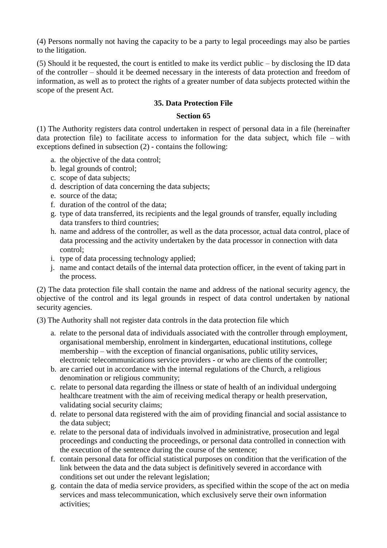(4) Persons normally not having the capacity to be a party to legal proceedings may also be parties to the litigation.

(5) Should it be requested, the court is entitled to make its verdict public – by disclosing the ID data of the controller – should it be deemed necessary in the interests of data protection and freedom of information, as well as to protect the rights of a greater number of data subjects protected within the scope of the present Act.

## **35. Data Protection File**

#### **Section 65**

(1) The Authority registers data control undertaken in respect of personal data in a file (hereinafter data protection file) to facilitate access to information for the data subject, which file – with exceptions defined in subsection (2) - contains the following:

- a. the objective of the data control;
- b. legal grounds of control;
- c. scope of data subjects;
- d. description of data concerning the data subjects;
- e. source of the data;
- f. duration of the control of the data;
- g. type of data transferred, its recipients and the legal grounds of transfer, equally including data transfers to third countries;
- h. name and address of the controller, as well as the data processor, actual data control, place of data processing and the activity undertaken by the data processor in connection with data control;
- i. type of data processing technology applied;
- j. name and contact details of the internal data protection officer, in the event of taking part in the process.

(2) The data protection file shall contain the name and address of the national security agency, the objective of the control and its legal grounds in respect of data control undertaken by national security agencies.

(3) The Authority shall not register data controls in the data protection file which

- a. relate to the personal data of individuals associated with the controller through employment, organisational membership, enrolment in kindergarten, educational institutions, college membership – with the exception of financial organisations, public utility services, electronic telecommunications service providers - or who are clients of the controller;
- b. are carried out in accordance with the internal regulations of the Church, a religious denomination or religious community;
- c. relate to personal data regarding the illness or state of health of an individual undergoing healthcare treatment with the aim of receiving medical therapy or health preservation, validating social security claims;
- d. relate to personal data registered with the aim of providing financial and social assistance to the data subject;
- e. relate to the personal data of individuals involved in administrative, prosecution and legal proceedings and conducting the proceedings, or personal data controlled in connection with the execution of the sentence during the course of the sentence;
- f. contain personal data for official statistical purposes on condition that the verification of the link between the data and the data subject is definitively severed in accordance with conditions set out under the relevant legislation;
- g. contain the data of media service providers, as specified within the scope of the act on media services and mass telecommunication, which exclusively serve their own information activities;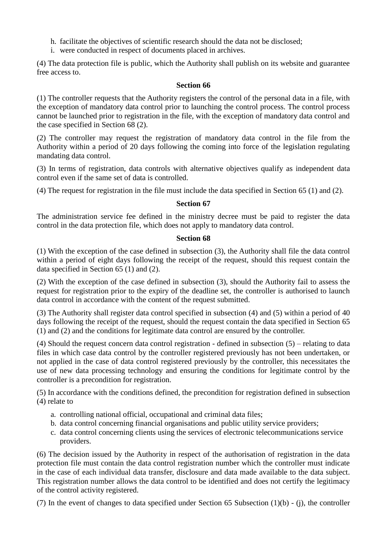- h. facilitate the objectives of scientific research should the data not be disclosed;
- i. were conducted in respect of documents placed in archives.

(4) The data protection file is public, which the Authority shall publish on its website and guarantee free access to.

#### **Section 66**

(1) The controller requests that the Authority registers the control of the personal data in a file, with the exception of mandatory data control prior to launching the control process. The control process cannot be launched prior to registration in the file, with the exception of mandatory data control and the case specified in Section 68 (2).

(2) The controller may request the registration of mandatory data control in the file from the Authority within a period of 20 days following the coming into force of the legislation regulating mandating data control.

(3) In terms of registration, data controls with alternative objectives qualify as independent data control even if the same set of data is controlled.

(4) The request for registration in the file must include the data specified in Section 65 (1) and (2).

#### **Section 67**

The administration service fee defined in the ministry decree must be paid to register the data control in the data protection file, which does not apply to mandatory data control.

#### **Section 68**

(1) With the exception of the case defined in subsection (3), the Authority shall file the data control within a period of eight days following the receipt of the request, should this request contain the data specified in Section 65 (1) and (2).

(2) With the exception of the case defined in subsection (3), should the Authority fail to assess the request for registration prior to the expiry of the deadline set, the controller is authorised to launch data control in accordance with the content of the request submitted.

(3) The Authority shall register data control specified in subsection (4) and (5) within a period of 40 days following the receipt of the request, should the request contain the data specified in Section 65 (1) and (2) and the conditions for legitimate data control are ensured by the controller.

(4) Should the request concern data control registration - defined in subsection (5) – relating to data files in which case data control by the controller registered previously has not been undertaken, or not applied in the case of data control registered previously by the controller, this necessitates the use of new data processing technology and ensuring the conditions for legitimate control by the controller is a precondition for registration.

(5) In accordance with the conditions defined, the precondition for registration defined in subsection (4) relate to

- a. controlling national official, occupational and criminal data files;
- b. data control concerning financial organisations and public utility service providers;
- c. data control concerning clients using the services of electronic telecommunications service providers.

(6) The decision issued by the Authority in respect of the authorisation of registration in the data protection file must contain the data control registration number which the controller must indicate in the case of each individual data transfer, disclosure and data made available to the data subject. This registration number allows the data control to be identified and does not certify the legitimacy of the control activity registered.

(7) In the event of changes to data specified under Section 65 Subsection (1)(b) - (j), the controller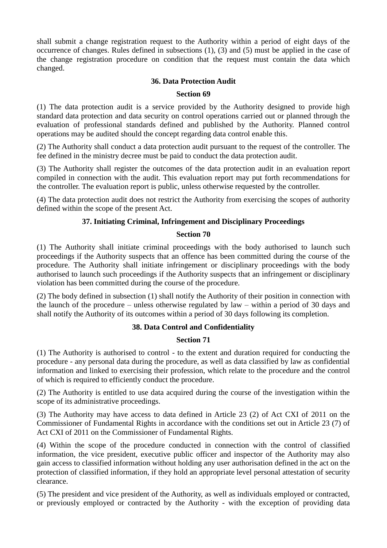shall submit a change registration request to the Authority within a period of eight days of the occurrence of changes. Rules defined in subsections (1), (3) and (5) must be applied in the case of the change registration procedure on condition that the request must contain the data which changed.

## **36. Data Protection Audit**

## **Section 69**

(1) The data protection audit is a service provided by the Authority designed to provide high standard data protection and data security on control operations carried out or planned through the evaluation of professional standards defined and published by the Authority. Planned control operations may be audited should the concept regarding data control enable this.

(2) The Authority shall conduct a data protection audit pursuant to the request of the controller. The fee defined in the ministry decree must be paid to conduct the data protection audit.

(3) The Authority shall register the outcomes of the data protection audit in an evaluation report compiled in connection with the audit. This evaluation report may put forth recommendations for the controller. The evaluation report is public, unless otherwise requested by the controller.

(4) The data protection audit does not restrict the Authority from exercising the scopes of authority defined within the scope of the present Act.

## **37. Initiating Criminal, Infringement and Disciplinary Proceedings**

#### **Section 70**

(1) The Authority shall initiate criminal proceedings with the body authorised to launch such proceedings if the Authority suspects that an offence has been committed during the course of the procedure. The Authority shall initiate infringement or disciplinary proceedings with the body authorised to launch such proceedings if the Authority suspects that an infringement or disciplinary violation has been committed during the course of the procedure.

(2) The body defined in subsection (1) shall notify the Authority of their position in connection with the launch of the procedure – unless otherwise regulated by law – within a period of 30 days and shall notify the Authority of its outcomes within a period of 30 days following its completion.

#### **38. Data Control and Confidentiality**

#### **Section 71**

(1) The Authority is authorised to control - to the extent and duration required for conducting the procedure - any personal data during the procedure, as well as data classified by law as confidential information and linked to exercising their profession, which relate to the procedure and the control of which is required to efficiently conduct the procedure.

(2) The Authority is entitled to use data acquired during the course of the investigation within the scope of its administrative proceedings.

(3) The Authority may have access to data defined in Article 23 (2) of Act CXI of 2011 on the Commissioner of Fundamental Rights in accordance with the conditions set out in Article 23 (7) of Act CXI of 2011 on the Commissioner of Fundamental Rights.

(4) Within the scope of the procedure conducted in connection with the control of classified information, the vice president, executive public officer and inspector of the Authority may also gain access to classified information without holding any user authorisation defined in the act on the protection of classified information, if they hold an appropriate level personal attestation of security clearance.

(5) The president and vice president of the Authority, as well as individuals employed or contracted, or previously employed or contracted by the Authority - with the exception of providing data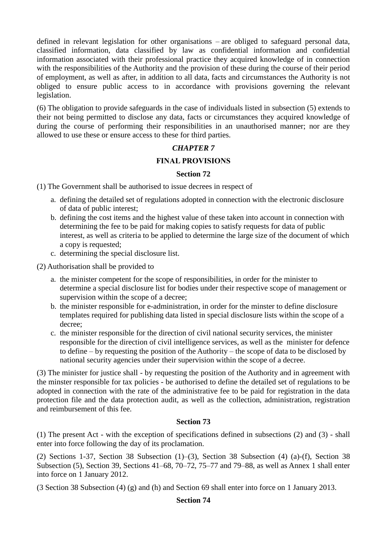defined in relevant legislation for other organisations – are obliged to safeguard personal data, classified information, data classified by law as confidential information and confidential information associated with their professional practice they acquired knowledge of in connection with the responsibilities of the Authority and the provision of these during the course of their period of employment, as well as after, in addition to all data, facts and circumstances the Authority is not obliged to ensure public access to in accordance with provisions governing the relevant legislation.

(6) The obligation to provide safeguards in the case of individuals listed in subsection (5) extends to their not being permitted to disclose any data, facts or circumstances they acquired knowledge of during the course of performing their responsibilities in an unauthorised manner; nor are they allowed to use these or ensure access to these for third parties.

## *CHAPTER 7*

## FINAL PROVISIONS

## **Section 72**

(1) The Government shall be authorised to issue decrees in respect of

- a. defining the detailed set of regulations adopted in connection with the electronic disclosure of data of public interest;
- b. defining the cost items and the highest value of these taken into account in connection with determining the fee to be paid for making copies to satisfy requests for data of public interest, as well as criteria to be applied to determine the large size of the document of which a copy is requested;
- c. determining the special disclosure list.

(2) Authorisation shall be provided to

- a. the minister competent for the scope of responsibilities, in order for the minister to determine a special disclosure list for bodies under their respective scope of management or supervision within the scope of a decree;
- b. the minister responsible for e-administration, in order for the minster to define disclosure templates required for publishing data listed in special disclosure lists within the scope of a decree;
- c. the minister responsible for the direction of civil national security services, the minister responsible for the direction of civil intelligence services, as well as the minister for defence to define – by requesting the position of the Authority – the scope of data to be disclosed by national security agencies under their supervision within the scope of a decree.

(3) The minister for justice shall - by requesting the position of the Authority and in agreement with the minster responsible for tax policies - be authorised to define the detailed set of regulations to be adopted in connection with the rate of the administrative fee to be paid for registration in the data protection file and the data protection audit, as well as the collection, administration, registration and reimbursement of this fee.

## **Section 73**

(1) The present Act - with the exception of specifications defined in subsections (2) and (3) - shall enter into force following the day of its proclamation.

(2) Sections 1-37, Section 38 Subsection (1)–(3), Section 38 Subsection (4) (a)-(f), Section 38 Subsection (5), Section 39, Sections 41–68, 70–72, 75–77 and 79–88, as well as Annex 1 shall enter into force on 1 January 2012.

(3 Section 38 Subsection (4) (g) and (h) and Section 69 shall enter into force on 1 January 2013.

#### **Section 74**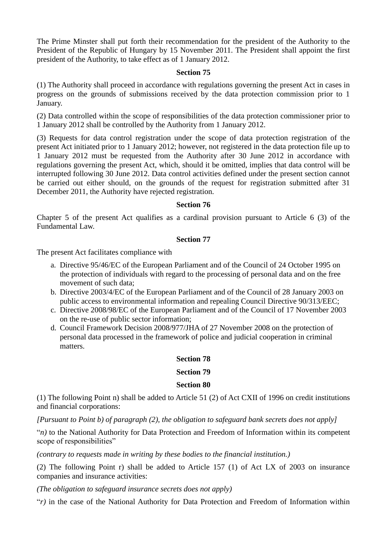The Prime Minster shall put forth their recommendation for the president of the Authority to the President of the Republic of Hungary by 15 November 2011. The President shall appoint the first president of the Authority, to take effect as of 1 January 2012.

#### **Section 75**

(1) The Authority shall proceed in accordance with regulations governing the present Act in cases in progress on the grounds of submissions received by the data protection commission prior to 1 January.

(2) Data controlled within the scope of responsibilities of the data protection commissioner prior to 1 January 2012 shall be controlled by the Authority from 1 January 2012.

(3) Requests for data control registration under the scope of data protection registration of the present Act initiated prior to 1 January 2012; however, not registered in the data protection file up to 1 January 2012 must be requested from the Authority after 30 June 2012 in accordance with regulations governing the present Act, which, should it be omitted, implies that data control will be interrupted following 30 June 2012. Data control activities defined under the present section cannot be carried out either should, on the grounds of the request for registration submitted after 31 December 2011, the Authority have rejected registration.

#### **Section 76**

Chapter 5 of the present Act qualifies as a cardinal provision pursuant to Article 6 (3) of the Fundamental Law.

#### **Section 77**

The present Act facilitates compliance with

- a. Directive 95/46/EC of the European Parliament and of the Council of 24 October 1995 on the protection of individuals with regard to the processing of personal data and on the free movement of such data;
- b. Directive 2003/4/EC of the European Parliament and of the Council of 28 January 2003 on public access to environmental information and repealing Council Directive 90/313/EEC;
- c. Directive 2008/98/EC of the European Parliament and of the Council of 17 November 2003 on the re-use of public sector information;
- d. Council Framework Decision 2008/977/JHA of 27 November 2008 on the protection of personal data processed in the framework of police and judicial cooperation in criminal matters.

#### **Section 78**

#### **Section 79**

#### **Section 80**

(1) The following Point n) shall be added to Article 51 (2) of Act CXII of 1996 on credit institutions and financial corporations:

*[Pursuant to Point b) of paragraph (2), the obligation to safeguard bank secrets does not apply]*

"*n)* to the National Authority for Data Protection and Freedom of Information within its competent scope of responsibilities"

*(contrary to requests made in writing by these bodies to the financial institution.)*

(2) The following Point r) shall be added to Article 157 (1) of Act LX of 2003 on insurance companies and insurance activities:

*(The obligation to safeguard insurance secrets does not apply)*

"*r)* in the case of the National Authority for Data Protection and Freedom of Information within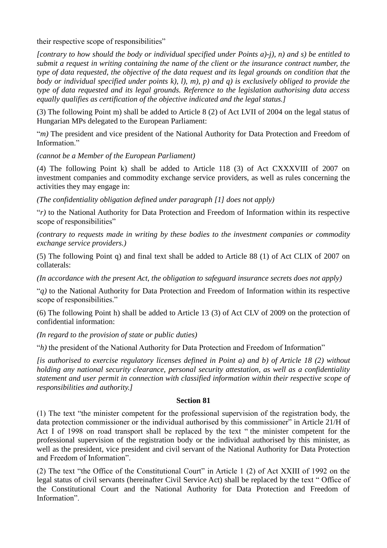their respective scope of responsibilities"

*[contrary to how should the body or individual specified under Points a)-j), n) and s) be entitled to submit a request in writing containing the name of the client or the insurance contract number, the type of data requested, the objective of the data request and its legal grounds on condition that the body or individual specified under points k), l), m), p) and q) is exclusively obliged to provide the type of data requested and its legal grounds. Reference to the legislation authorising data access equally qualifies as certification of the objective indicated and the legal status.]*

(3) The following Point m) shall be added to Article 8 (2) of Act LVII of 2004 on the legal status of Hungarian MPs delegated to the European Parliament:

"*m)* The president and vice president of the National Authority for Data Protection and Freedom of Information"

*(cannot be a Member of the European Parliament)*

(4) The following Point k) shall be added to Article 118 (3) of Act CXXXVIII of 2007 on investment companies and commodity exchange service providers, as well as rules concerning the activities they may engage in:

*(The confidentiality obligation defined under paragraph [1] does not apply)*

"*r)* to the National Authority for Data Protection and Freedom of Information within its respective scope of responsibilities"

*(contrary to requests made in writing by these bodies to the investment companies or commodity exchange service providers.)*

(5) The following Point q) and final text shall be added to Article 88 (1) of Act CLIX of 2007 on collaterals:

*(In accordance with the present Act, the obligation to safeguard insurance secrets does not apply)*

"*q)* to the National Authority for Data Protection and Freedom of Information within its respective scope of responsibilities."

(6) The following Point h) shall be added to Article 13 (3) of Act CLV of 2009 on the protection of confidential information:

*(In regard to the provision of state or public duties)*

"*h)* the president of the National Authority for Data Protection and Freedom of Information"

*[is authorised to exercise regulatory licenses defined in Point a) and b) of Article 18 (2) without holding any national security clearance, personal security attestation, as well as a confidentiality statement and user permit in connection with classified information within their respective scope of responsibilities and authority.]*

## **Section 81**

(1) The text "the minister competent for the professional supervision of the registration body, the data protection commissioner or the individual authorised by this commissioner" in Article 21/H of Act I of 1998 on road transport shall be replaced by the text " the minister competent for the professional supervision of the registration body or the individual authorised by this minister, as well as the president, vice president and civil servant of the National Authority for Data Protection and Freedom of Information".

(2) The text "the Office of the Constitutional Court" in Article 1 (2) of Act XXIII of 1992 on the legal status of civil servants (hereinafter Civil Service Act) shall be replaced by the text " Office of the Constitutional Court and the National Authority for Data Protection and Freedom of Information".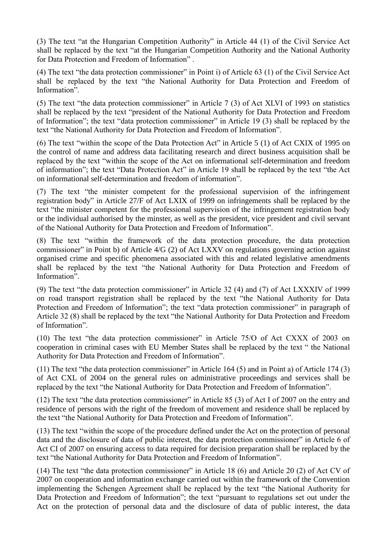(3) The text "at the Hungarian Competition Authority" in Article 44 (1) of the Civil Service Act shall be replaced by the text "at the Hungarian Competition Authority and the National Authority for Data Protection and Freedom of Information" .

(4) The text "the data protection commissioner" in Point i) of Article 63 (1) of the Civil Service Act shall be replaced by the text "the National Authority for Data Protection and Freedom of Information".

(5) The text "the data protection commissioner" in Article 7 (3) of Act XLVI of 1993 on statistics shall be replaced by the text "president of the National Authority for Data Protection and Freedom of Information"; the text "data protection commissioner" in Article 19 (3) shall be replaced by the text "the National Authority for Data Protection and Freedom of Information".

(6) The text "within the scope of the Data Protection Act" in Article 5 (1) of Act CXIX of 1995 on the control of name and address data facilitating research and direct business acquisition shall be replaced by the text "within the scope of the Act on informational self-determination and freedom of information"; the text "Data Protection Act" in Article 19 shall be replaced by the text "the Act on informational self-determination and freedom of information".

(7) The text "the minister competent for the professional supervision of the infringement registration body" in Article 27/F of Act LXIX of 1999 on infringements shall be replaced by the text "the minister competent for the professional supervision of the infringement registration body or the individual authorised by the minster, as well as the president, vice president and civil servant of the National Authority for Data Protection and Freedom of Information".

(8) The text "within the framework of the data protection procedure, the data protection commissioner" in Point b) of Article 4/G (2) of Act LXXV on regulations governing action against organised crime and specific phenomena associated with this and related legislative amendments shall be replaced by the text "the National Authority for Data Protection and Freedom of Information".

(9) The text "the data protection commissioner" in Article 32 (4) and (7) of Act LXXXIV of 1999 on road transport registration shall be replaced by the text "the National Authority for Data Protection and Freedom of Information"; the text "data protection commissioner" in paragraph of Article 32 (8) shall be replaced by the text "the National Authority for Data Protection and Freedom of Information".

(10) The text "the data protection commissioner" in Article 75/O of Act CXXX of 2003 on cooperation in criminal cases with EU Member States shall be replaced by the text " the National Authority for Data Protection and Freedom of Information".

(11) The text "the data protection commissioner" in Article 164 (5) and in Point a) of Article 174 (3) of Act CXL of 2004 on the general rules on administrative proceedings and services shall be replaced by the text "the National Authority for Data Protection and Freedom of Information".

(12) The text "the data protection commissioner" in Article 85 (3) of Act I of 2007 on the entry and residence of persons with the right of the freedom of movement and residence shall be replaced by the text "the National Authority for Data Protection and Freedom of Information".

(13) The text "within the scope of the procedure defined under the Act on the protection of personal data and the disclosure of data of public interest, the data protection commissioner" in Article 6 of Act CI of 2007 on ensuring access to data required for decision preparation shall be replaced by the text "the National Authority for Data Protection and Freedom of Information".

(14) The text "the data protection commissioner" in Article 18 (6) and Article 20 (2) of Act CV of 2007 on cooperation and information exchange carried out within the framework of the Convention implementing the Schengen Agreement shall be replaced by the text "the National Authority for Data Protection and Freedom of Information"; the text "pursuant to regulations set out under the Act on the protection of personal data and the disclosure of data of public interest, the data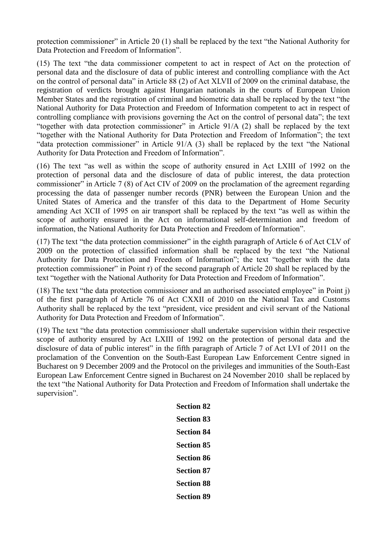protection commissioner" in Article 20 (1) shall be replaced by the text "the National Authority for Data Protection and Freedom of Information".

(15) The text "the data commissioner competent to act in respect of Act on the protection of personal data and the disclosure of data of public interest and controlling compliance with the Act on the control of personal data" in Article 88 (2) of Act XLVII of 2009 on the criminal database, the registration of verdicts brought against Hungarian nationals in the courts of European Union Member States and the registration of criminal and biometric data shall be replaced by the text "the National Authority for Data Protection and Freedom of Information competent to act in respect of controlling compliance with provisions governing the Act on the control of personal data"; the text "together with data protection commissioner" in Article 91/A (2) shall be replaced by the text "together with the National Authority for Data Protection and Freedom of Information"; the text "data protection commissioner" in Article 91/A (3) shall be replaced by the text "the National Authority for Data Protection and Freedom of Information".

(16) The text "as well as within the scope of authority ensured in Act LXIII of 1992 on the protection of personal data and the disclosure of data of public interest, the data protection commissioner" in Article 7 (8) of Act CIV of 2009 on the proclamation of the agreement regarding processing the data of passenger number records (PNR) between the European Union and the United States of America and the transfer of this data to the Department of Home Security amending Act XCII of 1995 on air transport shall be replaced by the text "as well as within the scope of authority ensured in the Act on informational self-determination and freedom of information, the National Authority for Data Protection and Freedom of Information".

(17) The text "the data protection commissioner" in the eighth paragraph of Article 6 of Act CLV of 2009 on the protection of classified information shall be replaced by the text "the National Authority for Data Protection and Freedom of Information"; the text "together with the data protection commissioner" in Point r) of the second paragraph of Article 20 shall be replaced by the text "together with the National Authority for Data Protection and Freedom of Information".

(18) The text "the data protection commissioner and an authorised associated employee" in Point j) of the first paragraph of Article 76 of Act CXXII of 2010 on the National Tax and Customs Authority shall be replaced by the text "president, vice president and civil servant of the National Authority for Data Protection and Freedom of Information".

(19) The text "the data protection commissioner shall undertake supervision within their respective scope of authority ensured by Act LXIII of 1992 on the protection of personal data and the disclosure of data of public interest" in the fifth paragraph of Article 7 of Act LVI of 2011 on the proclamation of the Convention on the South-East European Law Enforcement Centre signed in Bucharest on 9 December 2009 and the Protocol on the privileges and immunities of the South-East European Law Enforcement Centre signed in Bucharest on 24 November 2010 shall be replaced by the text "the National Authority for Data Protection and Freedom of Information shall undertake the supervision".

| <b>Section 82</b> |
|-------------------|
| Section 83        |
| <b>Section 84</b> |
| <b>Section 85</b> |
| <b>Section 86</b> |
| Section 87        |
| <b>Section 88</b> |
| <b>Section 89</b> |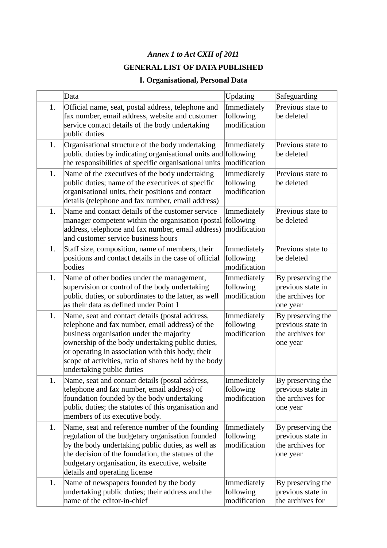# *Annex 1 to Act CXII of 2011* **GENERAL LIST OF DATA PUBLISHED**

# **I. Organisational, Personal Data**

|    | Data                                                                                                                                                                                                                                                                                                                                          | Updating                                 | Safeguarding                                                           |
|----|-----------------------------------------------------------------------------------------------------------------------------------------------------------------------------------------------------------------------------------------------------------------------------------------------------------------------------------------------|------------------------------------------|------------------------------------------------------------------------|
| 1. | Official name, seat, postal address, telephone and<br>fax number, email address, website and customer<br>service contact details of the body undertaking<br>public duties                                                                                                                                                                     | Immediately<br>following<br>modification | Previous state to<br>be deleted                                        |
| 1. | Organisational structure of the body undertaking<br>public duties by indicating organisational units and following<br>the responsibilities of specific organisational units                                                                                                                                                                   | Immediately<br>modification              | Previous state to<br>be deleted                                        |
| 1. | Name of the executives of the body undertaking<br>public duties; name of the executives of specific<br>organisational units, their positions and contact<br>details (telephone and fax number, email address)                                                                                                                                 | Immediately<br>following<br>modification | Previous state to<br>be deleted                                        |
| 1. | Name and contact details of the customer service<br>manager competent within the organisation (postal following<br>address, telephone and fax number, email address)<br>and customer service business hours                                                                                                                                   | Immediately<br>modification              | Previous state to<br>be deleted                                        |
| 1. | Staff size, composition, name of members, their<br>positions and contact details in the case of official<br>bodies                                                                                                                                                                                                                            | Immediately<br>following<br>modification | Previous state to<br>be deleted                                        |
| 1. | Name of other bodies under the management,<br>supervision or control of the body undertaking<br>public duties, or subordinates to the latter, as well<br>as their data as defined under Point 1                                                                                                                                               | Immediately<br>following<br>modification | By preserving the<br>previous state in<br>the archives for<br>one year |
| 1. | Name, seat and contact details (postal address,<br>telephone and fax number, email address) of the<br>business organisation under the majority<br>ownership of the body undertaking public duties,<br>or operating in association with this body; their<br>scope of activities, ratio of shares held by the body<br>undertaking public duties | Immediately<br>following<br>modification | By preserving the<br>previous state in<br>the archives for<br>one year |
| 1. | Name, seat and contact details (postal address,<br>telephone and fax number, email address) of<br>foundation founded by the body undertaking<br>public duties; the statutes of this organisation and<br>members of its executive body.                                                                                                        | Immediately<br>following<br>modification | By preserving the<br>previous state in<br>the archives for<br>one year |
| 1. | Name, seat and reference number of the founding<br>regulation of the budgetary organisation founded<br>by the body undertaking public duties, as well as<br>the decision of the foundation, the statues of the<br>budgetary organisation, its executive, website<br>details and operating license                                             | Immediately<br>following<br>modification | By preserving the<br>previous state in<br>the archives for<br>one year |
| 1. | Name of newspapers founded by the body<br>undertaking public duties; their address and the<br>name of the editor-in-chief                                                                                                                                                                                                                     | Immediately<br>following<br>modification | By preserving the<br>previous state in<br>the archives for             |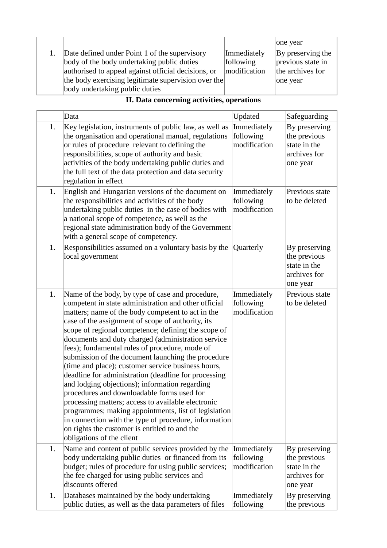|                                                     |              | one year          |
|-----------------------------------------------------|--------------|-------------------|
| Date defined under Point 1 of the supervisory       | Immediately  | By preserving the |
| body of the body undertaking public duties          | following    | previous state in |
| authorised to appeal against official decisions, or | modification | the archives for  |
| the body exercising legitimate supervision over the |              | one year          |
| body undertaking public duties                      |              |                   |

|  | II. Data concerning activities, operations |  |
|--|--------------------------------------------|--|
|  |                                            |  |

|    | Data                                                                                                                                                                                                                                                                                                                                                                                                                                                                                                                                                                                                                                                                                                                                                                                                                                                                                                       | Updated                                  | Safeguarding                                                              |
|----|------------------------------------------------------------------------------------------------------------------------------------------------------------------------------------------------------------------------------------------------------------------------------------------------------------------------------------------------------------------------------------------------------------------------------------------------------------------------------------------------------------------------------------------------------------------------------------------------------------------------------------------------------------------------------------------------------------------------------------------------------------------------------------------------------------------------------------------------------------------------------------------------------------|------------------------------------------|---------------------------------------------------------------------------|
| 1. | Key legislation, instruments of public law, as well as<br>the organisation and operational manual, regulations<br>or rules of procedure relevant to defining the<br>responsibilities, scope of authority and basic<br>activities of the body undertaking public duties and<br>the full text of the data protection and data security<br>regulation in effect                                                                                                                                                                                                                                                                                                                                                                                                                                                                                                                                               | Immediately<br>following<br>modification | By preserving<br>the previous<br>state in the<br>archives for<br>one year |
| 1. | English and Hungarian versions of the document on<br>the responsibilities and activities of the body<br>undertaking public duties in the case of bodies with<br>a national scope of competence, as well as the<br>regional state administration body of the Government<br>with a general scope of competency.                                                                                                                                                                                                                                                                                                                                                                                                                                                                                                                                                                                              | Immediately<br>following<br>modification | Previous state<br>to be deleted                                           |
| 1. | Responsibilities assumed on a voluntary basis by the<br>local government                                                                                                                                                                                                                                                                                                                                                                                                                                                                                                                                                                                                                                                                                                                                                                                                                                   | Quarterly                                | By preserving<br>the previous<br>state in the<br>archives for<br>one year |
| 1. | Name of the body, by type of case and procedure,<br>competent in state administration and other official<br>matters; name of the body competent to act in the<br>case of the assignment of scope of authority, its<br>scope of regional competence; defining the scope of<br>documents and duty charged (administration service<br>fees); fundamental rules of procedure, mode of<br>submission of the document launching the procedure<br>(time and place); customer service business hours,<br>deadline for administration (deadline for processing<br>and lodging objections); information regarding<br>procedures and downloadable forms used for<br>processing matters; access to available electronic<br>programmes; making appointments, list of legislation<br>in connection with the type of procedure, information<br>on rights the customer is entitled to and the<br>obligations of the client | Immediately<br>following<br>modification | Previous state<br>to be deleted                                           |
| 1. | Name and content of public services provided by the<br>body undertaking public duties or financed from its<br>budget; rules of procedure for using public services;<br>the fee charged for using public services and<br>discounts offered                                                                                                                                                                                                                                                                                                                                                                                                                                                                                                                                                                                                                                                                  | Immediately<br>following<br>modification | By preserving<br>the previous<br>state in the<br>archives for<br>one year |
| 1. | Databases maintained by the body undertaking<br>public duties, as well as the data parameters of files                                                                                                                                                                                                                                                                                                                                                                                                                                                                                                                                                                                                                                                                                                                                                                                                     | Immediately<br>following                 | By preserving<br>the previous                                             |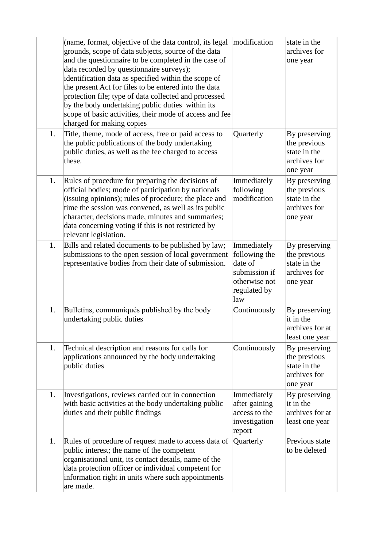|    | (name, format, objective of the data control, its legal<br>grounds, scope of data subjects, source of the data<br>and the questionnaire to be completed in the case of<br>data recorded by questionnaire surveys);<br>identification data as specified within the scope of<br>the present Act for files to be entered into the data<br>protection file; type of data collected and processed<br>by the body undertaking public duties within its<br>scope of basic activities, their mode of access and fee<br>charged for making copies | modification                                                                                     | state in the<br>archives for<br>one year                                  |
|----|------------------------------------------------------------------------------------------------------------------------------------------------------------------------------------------------------------------------------------------------------------------------------------------------------------------------------------------------------------------------------------------------------------------------------------------------------------------------------------------------------------------------------------------|--------------------------------------------------------------------------------------------------|---------------------------------------------------------------------------|
| 1. | Title, theme, mode of access, free or paid access to<br>the public publications of the body undertaking<br>public duties, as well as the fee charged to access<br>these.                                                                                                                                                                                                                                                                                                                                                                 | Quarterly                                                                                        | By preserving<br>the previous<br>state in the<br>archives for<br>one year |
| 1. | Rules of procedure for preparing the decisions of<br>official bodies; mode of participation by nationals<br>(issuing opinions); rules of procedure; the place and<br>time the session was convened, as well as its public<br>character, decisions made, minutes and summaries;<br>data concerning voting if this is not restricted by<br>relevant legislation.                                                                                                                                                                           | Immediately<br>following<br>modification                                                         | By preserving<br>the previous<br>state in the<br>archives for<br>one year |
| 1. | Bills and related documents to be published by law;<br>submissions to the open session of local government<br>representative bodies from their date of submission.                                                                                                                                                                                                                                                                                                                                                                       | Immediately<br>following the<br>date of<br>submission if<br>otherwise not<br>regulated by<br>law | By preserving<br>the previous<br>state in the<br>archives for<br>one year |
| 1. | Bulletins, communiqués published by the body<br>undertaking public duties                                                                                                                                                                                                                                                                                                                                                                                                                                                                | Continuously                                                                                     | By preserving<br>it in the<br>archives for at<br>least one year           |
| 1. | Technical description and reasons for calls for<br>applications announced by the body undertaking<br>public duties                                                                                                                                                                                                                                                                                                                                                                                                                       | Continuously                                                                                     | By preserving<br>the previous<br>state in the<br>archives for<br>one year |
| 1. | Investigations, reviews carried out in connection<br>with basic activities at the body undertaking public<br>duties and their public findings                                                                                                                                                                                                                                                                                                                                                                                            | Immediately<br>after gaining<br>access to the<br>investigation<br>report                         | By preserving<br>it in the<br>archives for at<br>least one year           |
| 1. | Rules of procedure of request made to access data of<br>public interest; the name of the competent<br>organisational unit, its contact details, name of the<br>data protection officer or individual competent for<br>information right in units where such appointments<br>are made.                                                                                                                                                                                                                                                    | Quarterly                                                                                        | Previous state<br>to be deleted                                           |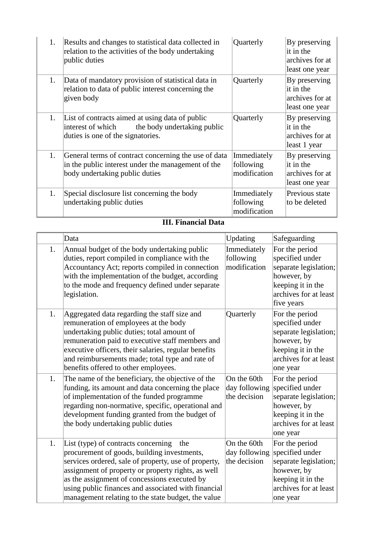| 1. | Results and changes to statistical data collected in<br>relation to the activities of the body undertaking<br>public duties                  | Quarterly                                | By preserving<br>it in the<br>archives for at<br>least one year |
|----|----------------------------------------------------------------------------------------------------------------------------------------------|------------------------------------------|-----------------------------------------------------------------|
| 1. | Data of mandatory provision of statistical data in<br>relation to data of public interest concerning the<br>given body                       | Quarterly                                | By preserving<br>it in the<br>archives for at<br>least one year |
| 1. | List of contracts aimed at using data of public<br>the body undertaking public<br>interest of which<br>duties is one of the signatories.     | Quarterly                                | By preserving<br>it in the<br>archives for at<br>least 1 year   |
| 1. | General terms of contract concerning the use of data<br>in the public interest under the management of the<br>body undertaking public duties | Immediately<br>following<br>modification | By preserving<br>it in the<br>archives for at<br>least one year |
| 1. | Special disclosure list concerning the body<br>undertaking public duties                                                                     | Immediately<br>following<br>modification | Previous state<br>to be deleted                                 |

## **III. Financial Data**

|    | Data                                                                                                                                                                                                                                                                                                                                                                 | Updating                                     | Safeguarding                                                                                                                          |
|----|----------------------------------------------------------------------------------------------------------------------------------------------------------------------------------------------------------------------------------------------------------------------------------------------------------------------------------------------------------------------|----------------------------------------------|---------------------------------------------------------------------------------------------------------------------------------------|
| 1. | Annual budget of the body undertaking public<br>duties, report compiled in compliance with the<br>Accountancy Act; reports compiled in connection<br>with the implementation of the budget, according<br>to the mode and frequency defined under separate<br>legislation.                                                                                            | Immediately<br>following<br>modification     | For the period<br>specified under<br>separate legislation;<br>however, by<br>keeping it in the<br>archives for at least<br>five years |
| 1. | Aggregated data regarding the staff size and<br>remuneration of employees at the body<br>undertaking public duties; total amount of<br>remuneration paid to executive staff members and<br>executive officers, their salaries, regular benefits<br>and reimbursements made; total type and rate of<br>benefits offered to other employees.                           | Quarterly                                    | For the period<br>specified under<br>separate legislation;<br>however, by<br>keeping it in the<br>archives for at least<br>one year   |
| 1. | The name of the beneficiary, the objective of the<br>funding, its amount and data concerning the place<br>of implementation of the funded programme<br>regarding non-normative, specific, operational and<br>development funding granted from the budget of<br>the body undertaking public duties                                                                    | On the 60th<br>day following<br>the decision | For the period<br>specified under<br>separate legislation;<br>however, by<br>keeping it in the<br>archives for at least<br>one year   |
| 1. | List (type) of contracts concerning<br>the<br>procurement of goods, building investments,<br>services ordered, sale of property, use of property,<br>assignment of property or property rights, as well<br>as the assignment of concessions executed by<br>using public finances and associated with financial<br>management relating to the state budget, the value | On the 60th<br>day following<br>the decision | For the period<br>specified under<br>separate legislation;<br>however, by<br>keeping it in the<br>archives for at least<br>one year   |